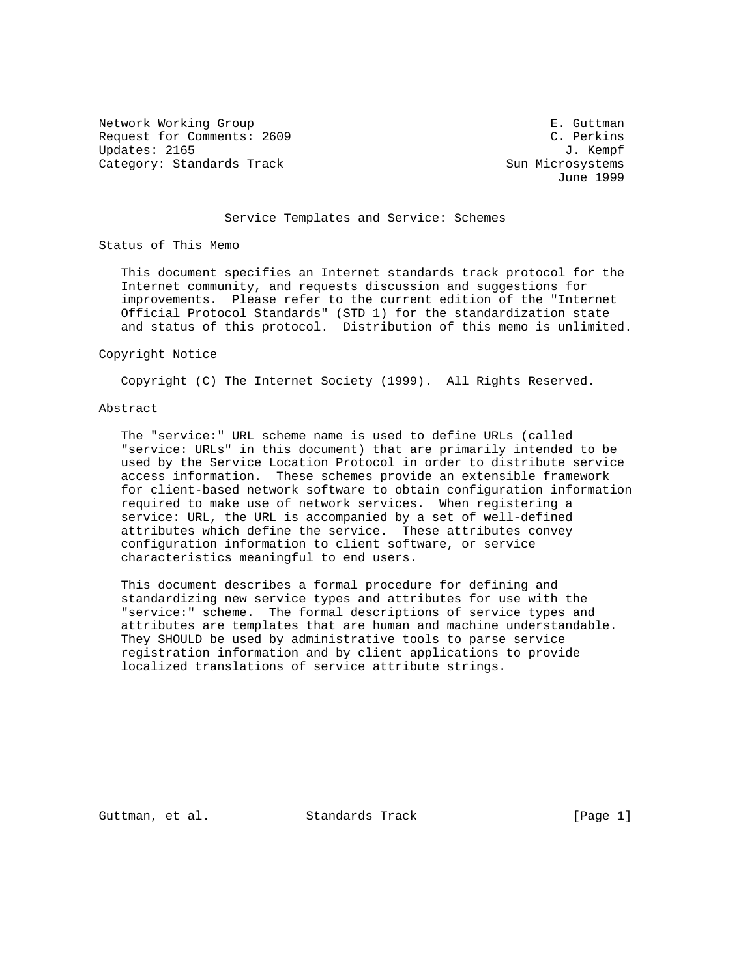Network Working Group **E. Guttman** Request for Comments: 2609 C. Perkins Updates: 2165 J. Kempf Category: Standards Track Sun Microsystems

June 1999

# Service Templates and Service: Schemes

Status of This Memo

 This document specifies an Internet standards track protocol for the Internet community, and requests discussion and suggestions for improvements. Please refer to the current edition of the "Internet Official Protocol Standards" (STD 1) for the standardization state and status of this protocol. Distribution of this memo is unlimited.

### Copyright Notice

Copyright (C) The Internet Society (1999). All Rights Reserved.

### Abstract

 The "service:" URL scheme name is used to define URLs (called "service: URLs" in this document) that are primarily intended to be used by the Service Location Protocol in order to distribute service access information. These schemes provide an extensible framework for client-based network software to obtain configuration information required to make use of network services. When registering a service: URL, the URL is accompanied by a set of well-defined attributes which define the service. These attributes convey configuration information to client software, or service characteristics meaningful to end users.

 This document describes a formal procedure for defining and standardizing new service types and attributes for use with the "service:" scheme. The formal descriptions of service types and attributes are templates that are human and machine understandable. They SHOULD be used by administrative tools to parse service registration information and by client applications to provide localized translations of service attribute strings.

Guttman, et al. Standards Track [Page 1]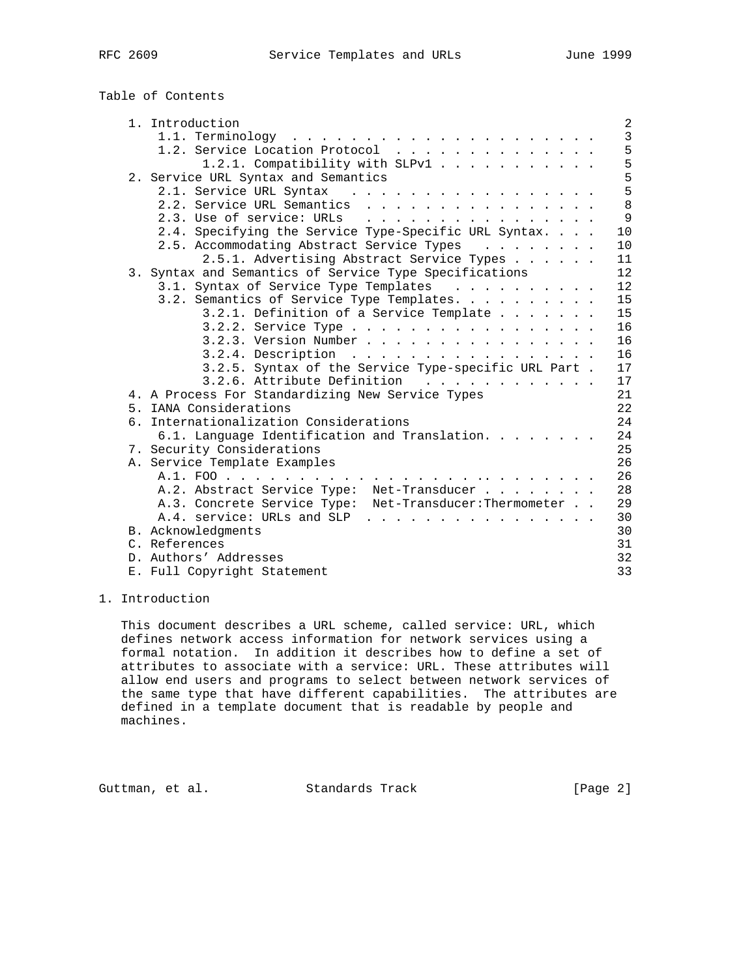| RFC | 2609 |
|-----|------|
|     |      |

Table of Contents

| 1.1. Terminology                                                                                                                                                                                                                                         |  |
|----------------------------------------------------------------------------------------------------------------------------------------------------------------------------------------------------------------------------------------------------------|--|
| 1.2. Service Location Protocol                                                                                                                                                                                                                           |  |
| 1.2.1. Compatibility with SLPv1                                                                                                                                                                                                                          |  |
| 2. Service URL Syntax and Semantics                                                                                                                                                                                                                      |  |
| 2.1. Service URL Syntax<br>a construction of the construction of the construction of the construction of the construction of the construction of the construction of the construction of the construction of the construction of the construction of the |  |
| 2.2. Service URL Semantics                                                                                                                                                                                                                               |  |
| 2.3. Use of service: URLs                                                                                                                                                                                                                                |  |
| 2.4. Specifying the Service Type-Specific URL Syntax.                                                                                                                                                                                                    |  |
| 2.5. Accommodating Abstract Service Types                                                                                                                                                                                                                |  |
| 2.5.1. Advertising Abstract Service Types                                                                                                                                                                                                                |  |
| 3. Syntax and Semantics of Service Type Specifications                                                                                                                                                                                                   |  |
| 3.1. Syntax of Service Type Templates                                                                                                                                                                                                                    |  |
| 3.2. Semantics of Service Type Templates.                                                                                                                                                                                                                |  |
| 3.2.1. Definition of a Service Template                                                                                                                                                                                                                  |  |
| 3.2.2. Service Type                                                                                                                                                                                                                                      |  |
| 3.2.3. Version Number                                                                                                                                                                                                                                    |  |
| $3.2.4.$ Description                                                                                                                                                                                                                                     |  |
| 3.2.5. Syntax of the Service Type-specific URL Part.                                                                                                                                                                                                     |  |
| 3.2.6. Attribute Definition                                                                                                                                                                                                                              |  |
| 4. A Process For Standardizing New Service Types                                                                                                                                                                                                         |  |
| 5. IANA Considerations                                                                                                                                                                                                                                   |  |
| 6. Internationalization Considerations                                                                                                                                                                                                                   |  |
| 6.1. Language Identification and Translation.                                                                                                                                                                                                            |  |
| 7. Security Considerations                                                                                                                                                                                                                               |  |
| A. Service Template Examples                                                                                                                                                                                                                             |  |
|                                                                                                                                                                                                                                                          |  |
| A.2. Abstract Service Type: Net-Transducer                                                                                                                                                                                                               |  |
| A.3. Concrete Service Type: Net-Transducer: Thermometer                                                                                                                                                                                                  |  |
| A.4. service: URLs and SLP                                                                                                                                                                                                                               |  |
| B. Acknowledgments                                                                                                                                                                                                                                       |  |
| C. References                                                                                                                                                                                                                                            |  |
| D. Authors' Addresses                                                                                                                                                                                                                                    |  |
| E. Full Copyright Statement                                                                                                                                                                                                                              |  |

# 1. Introduction

 This document describes a URL scheme, called service: URL, which defines network access information for network services using a formal notation. In addition it describes how to define a set of attributes to associate with a service: URL. These attributes will allow end users and programs to select between network services of the same type that have different capabilities. The attributes are defined in a template document that is readable by people and machines.

Guttman, et al. Standards Track [Page 2]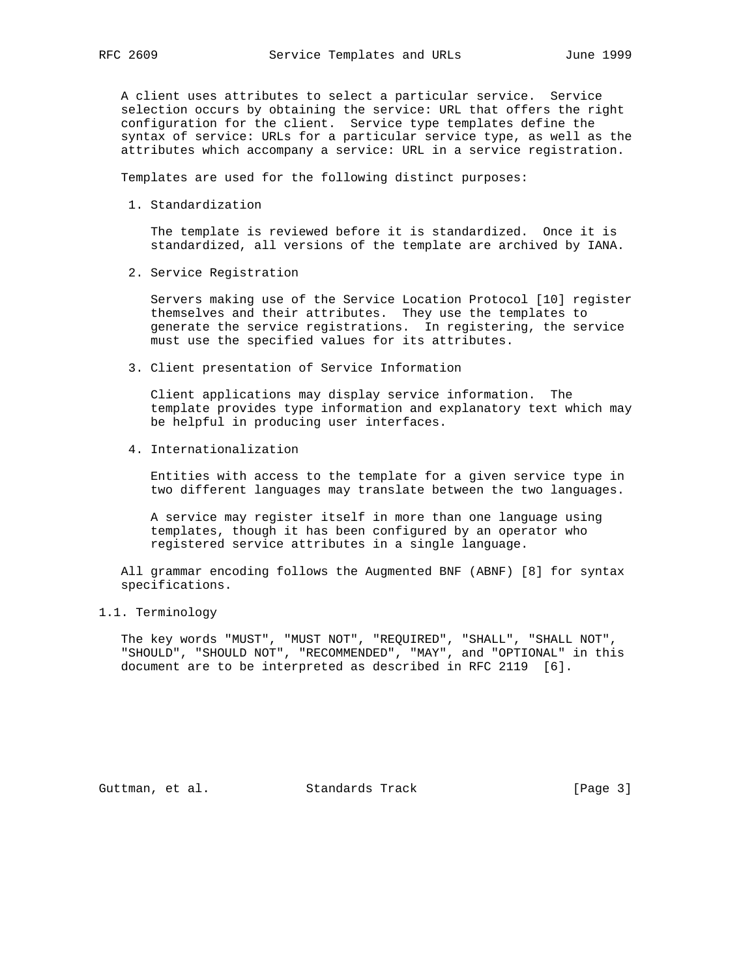A client uses attributes to select a particular service. Service selection occurs by obtaining the service: URL that offers the right configuration for the client. Service type templates define the syntax of service: URLs for a particular service type, as well as the attributes which accompany a service: URL in a service registration.

Templates are used for the following distinct purposes:

1. Standardization

 The template is reviewed before it is standardized. Once it is standardized, all versions of the template are archived by IANA.

2. Service Registration

 Servers making use of the Service Location Protocol [10] register themselves and their attributes. They use the templates to generate the service registrations. In registering, the service must use the specified values for its attributes.

3. Client presentation of Service Information

 Client applications may display service information. The template provides type information and explanatory text which may be helpful in producing user interfaces.

4. Internationalization

 Entities with access to the template for a given service type in two different languages may translate between the two languages.

 A service may register itself in more than one language using templates, though it has been configured by an operator who registered service attributes in a single language.

 All grammar encoding follows the Augmented BNF (ABNF) [8] for syntax specifications.

1.1. Terminology

 The key words "MUST", "MUST NOT", "REQUIRED", "SHALL", "SHALL NOT", "SHOULD", "SHOULD NOT", "RECOMMENDED", "MAY", and "OPTIONAL" in this document are to be interpreted as described in RFC 2119 [6].

Guttman, et al. Standards Track [Page 3]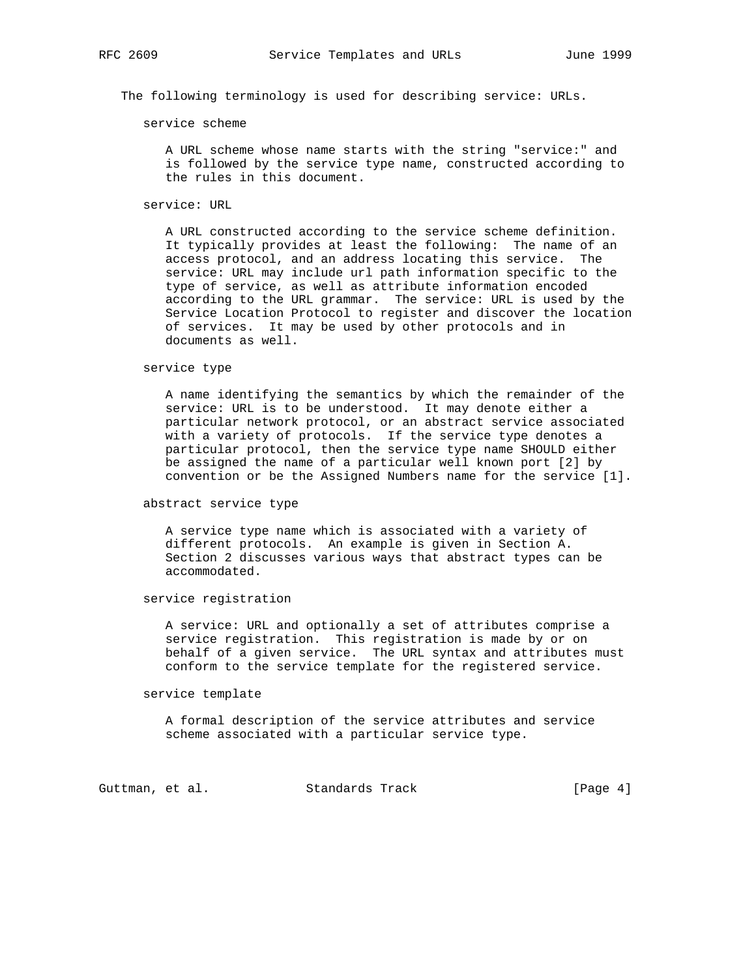The following terminology is used for describing service: URLs.

service scheme

 A URL scheme whose name starts with the string "service:" and is followed by the service type name, constructed according to the rules in this document.

service: URL

 A URL constructed according to the service scheme definition. It typically provides at least the following: The name of an access protocol, and an address locating this service. The service: URL may include url path information specific to the type of service, as well as attribute information encoded according to the URL grammar. The service: URL is used by the Service Location Protocol to register and discover the location of services. It may be used by other protocols and in documents as well.

### service type

 A name identifying the semantics by which the remainder of the service: URL is to be understood. It may denote either a particular network protocol, or an abstract service associated with a variety of protocols. If the service type denotes a particular protocol, then the service type name SHOULD either be assigned the name of a particular well known port [2] by convention or be the Assigned Numbers name for the service [1].

abstract service type

 A service type name which is associated with a variety of different protocols. An example is given in Section A. Section 2 discusses various ways that abstract types can be accommodated.

service registration

 A service: URL and optionally a set of attributes comprise a service registration. This registration is made by or on behalf of a given service. The URL syntax and attributes must conform to the service template for the registered service.

### service template

 A formal description of the service attributes and service scheme associated with a particular service type.

Guttman, et al. Standards Track [Page 4]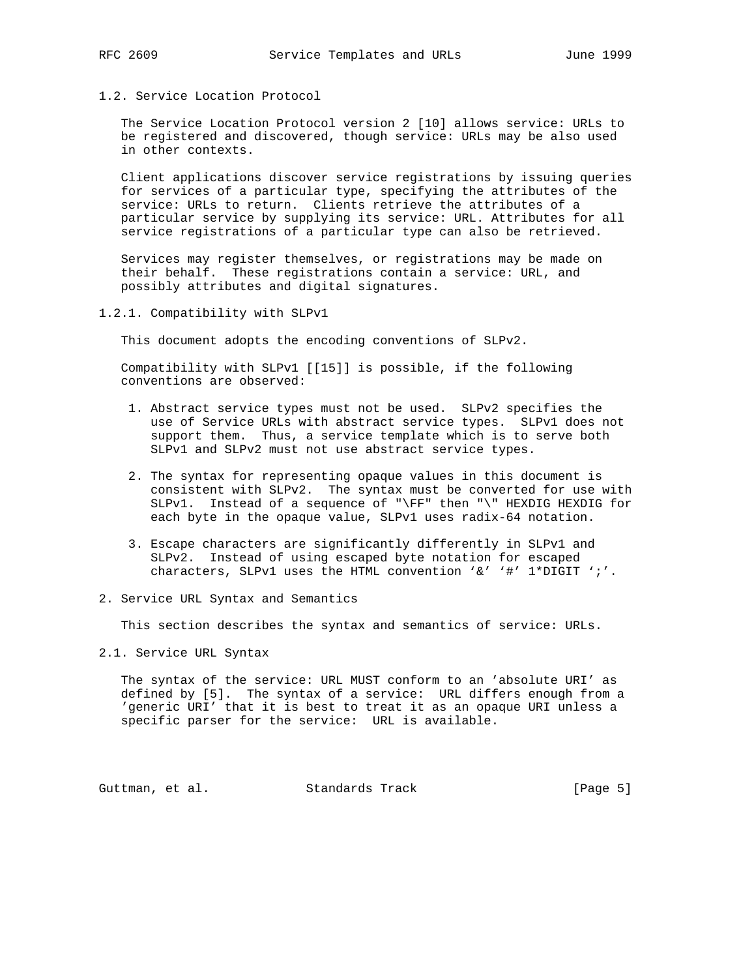1.2. Service Location Protocol

 The Service Location Protocol version 2 [10] allows service: URLs to be registered and discovered, though service: URLs may be also used in other contexts.

 Client applications discover service registrations by issuing queries for services of a particular type, specifying the attributes of the service: URLs to return. Clients retrieve the attributes of a particular service by supplying its service: URL. Attributes for all service registrations of a particular type can also be retrieved.

 Services may register themselves, or registrations may be made on their behalf. These registrations contain a service: URL, and possibly attributes and digital signatures.

1.2.1. Compatibility with SLPv1

This document adopts the encoding conventions of SLPv2.

 Compatibility with SLPv1 [[15]] is possible, if the following conventions are observed:

- 1. Abstract service types must not be used. SLPv2 specifies the use of Service URLs with abstract service types. SLPv1 does not support them. Thus, a service template which is to serve both SLPv1 and SLPv2 must not use abstract service types.
- 2. The syntax for representing opaque values in this document is consistent with SLPv2. The syntax must be converted for use with SLPv1. Instead of a sequence of "\FF" then "\" HEXDIG HEXDIG for each byte in the opaque value, SLPv1 uses radix-64 notation.
- 3. Escape characters are significantly differently in SLPv1 and SLPv2. Instead of using escaped byte notation for escaped characters, SLPv1 uses the HTML convention '&' '#' 1\*DIGIT ';'.
- 2. Service URL Syntax and Semantics

This section describes the syntax and semantics of service: URLs.

2.1. Service URL Syntax

 The syntax of the service: URL MUST conform to an 'absolute URI' as defined by [5]. The syntax of a service: URL differs enough from a 'generic URI' that it is best to treat it as an opaque URI unless a specific parser for the service: URL is available.

Guttman, et al. Standards Track [Page 5]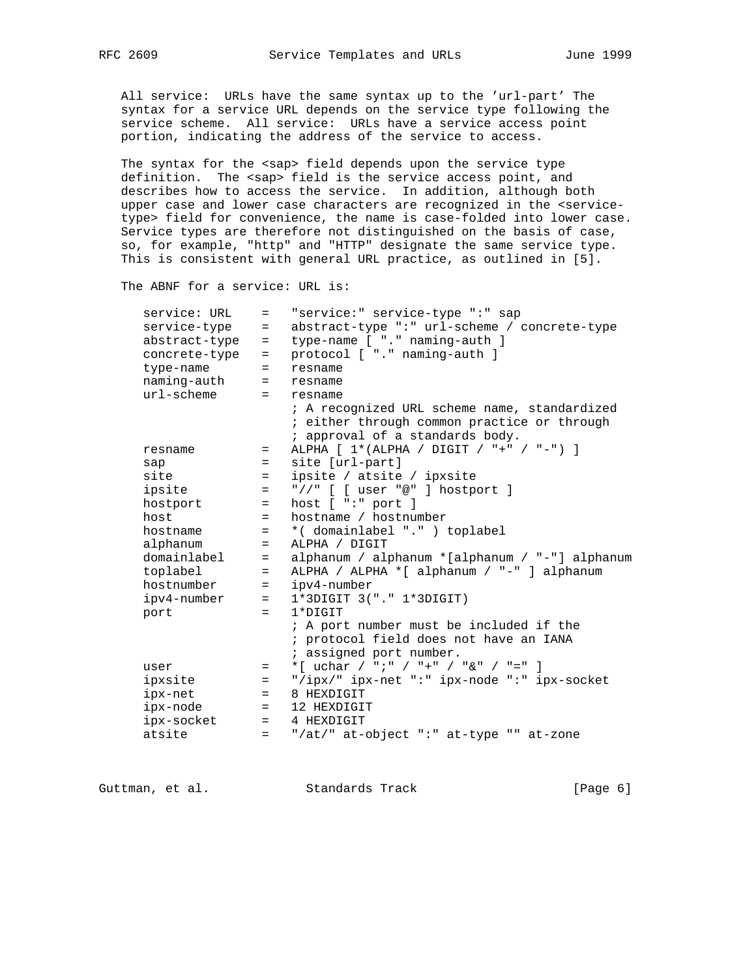All service: URLs have the same syntax up to the 'url-part' The syntax for a service URL depends on the service type following the service scheme. All service: URLs have a service access point portion, indicating the address of the service to access.

 The syntax for the <sap> field depends upon the service type definition. The <sap> field is the service access point, and describes how to access the service. In addition, although both upper case and lower case characters are recognized in the <service type> field for convenience, the name is case-folded into lower case. Service types are therefore not distinguished on the basis of case, so, for example, "http" and "HTTP" designate the same service type. This is consistent with general URL practice, as outlined in [5].

The ABNF for a service: URL is:

| service: URL  | $=$        | "service:" service-type ":" sap                |
|---------------|------------|------------------------------------------------|
| service-type  | $=$        | abstract-type ":" url-scheme / concrete-type   |
| abstract-type | $=$        | type-name [ "." naming-auth ]                  |
| concrete-type | $=$        | protocol [ "." naming-auth ]                   |
| type-name     | $=$        | resname                                        |
| naming-auth   | $=$        | resname                                        |
| $ur1$ -scheme | $=$ $-$    | resname                                        |
|               |            | ; A recognized URL scheme name, standardized   |
|               |            | ; either through common practice or through    |
|               |            | ; approval of a standards body.                |
| resname       | $=$        | ALPHA $[1*(ALPHA / DIGIT / "+" / "-")]$        |
| sap           | $=$ $-$    | site [url-part]                                |
| site          | $=$        | ipsite / atsite / ipxsite                      |
| ipsite        | $=$        | "//" $[$ [ user "@" ] hostport ]               |
| hostport      | $=$        | host $[$ ":" port $]$                          |
| host          | $=$        | hostname / hostnumber                          |
| hostname      | $=$        | *(domainlabel ".") toplabel                    |
| alphanum      | $=$        | ALPHA / DIGIT                                  |
| domainlabel   | $=$        | alphanum / alphanum *[alphanum / "-"] alphanum |
| toplabel      | $=$ $-$    | ALPHA / ALPHA *[ alphanum / "-" ] alphanum     |
| hostnumber    | $=$ $\sim$ | ipv4-number                                    |
| ipv4-number   | $=$ $-$    | $1*3DIGIT 3(''. " 1*3DIGIT)$                   |
| port          | $=$        | $1*$ DIGIT                                     |
|               |            | ; A port number must be included if the        |
|               |            | ; protocol field does not have an IANA         |
|               |            | ; assigned port number.                        |
| user          | $=$        | *[ uchar / ";" / "+" / "&" / "=" ]             |
| ipxsite       | $=$        | "/ipx/" ipx-net ":" ipx-node ":" ipx-socket    |
| ipx-net       | $=$ $-$    | 8 HEXDIGIT                                     |
| ipx-node      | $=$ $-$    | 12 HEXDIGIT                                    |
| ipx-socket    |            | $=$ 4 HEXDIGIT                                 |
| atsite        | $=$ $-$    | "/at/" at-object ":" at-type "" at-zone        |
|               |            |                                                |

Guttman, et al. Standards Track [Page 6]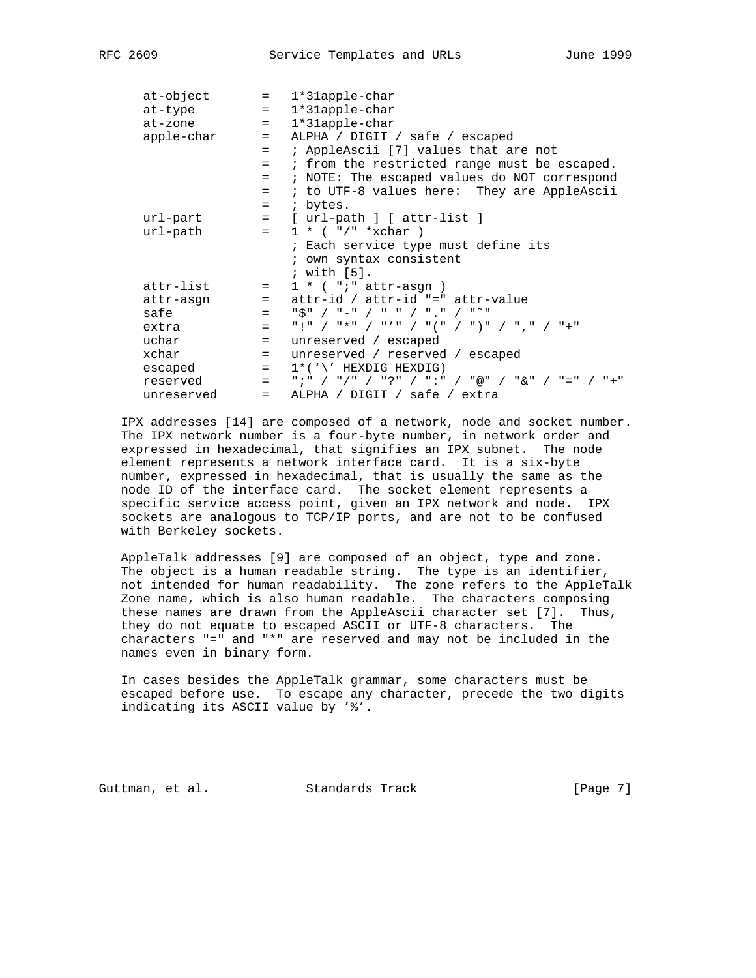|            |         | $at-object$ = $1*31apple-char$                                                                                                                                                                                                                                                                                      |
|------------|---------|---------------------------------------------------------------------------------------------------------------------------------------------------------------------------------------------------------------------------------------------------------------------------------------------------------------------|
| at-type    |         | $= 1*31apple-char$                                                                                                                                                                                                                                                                                                  |
| at-zone    |         | = 1*31apple-char                                                                                                                                                                                                                                                                                                    |
| apple-char |         | = ALPHA / DIGIT / safe / escaped                                                                                                                                                                                                                                                                                    |
|            | $=$     | ; AppleAscii [7] values that are not                                                                                                                                                                                                                                                                                |
|            | $=$     | ; from the restricted range must be escaped.                                                                                                                                                                                                                                                                        |
|            |         |                                                                                                                                                                                                                                                                                                                     |
|            | $=$     | ; NOTE: The escaped values do NOT correspond                                                                                                                                                                                                                                                                        |
|            | $=$     | ; to UTF-8 values here: They are AppleAscii                                                                                                                                                                                                                                                                         |
|            |         | $=$ ; bytes.                                                                                                                                                                                                                                                                                                        |
| url-part   |         | = [ url-path ] [ attr-list ]                                                                                                                                                                                                                                                                                        |
| url-path   |         | $= 1 * ($ "/" *xchar )                                                                                                                                                                                                                                                                                              |
|            |         | ; Each service type must define its                                                                                                                                                                                                                                                                                 |
|            |         | ; own syntax consistent                                                                                                                                                                                                                                                                                             |
|            |         | ; with [5].                                                                                                                                                                                                                                                                                                         |
| attr-list  |         | $= 1 * ( "i" attr-asqn )$                                                                                                                                                                                                                                                                                           |
|            |         | attr-asgn = attr-id / attr-id "=" attr-value                                                                                                                                                                                                                                                                        |
|            |         |                                                                                                                                                                                                                                                                                                                     |
| safe       | $=$     | $\frac{1}{2}$ $\frac{1}{2}$ $\frac{1}{2}$ $\frac{1}{2}$ $\frac{1}{2}$ $\frac{1}{2}$ $\frac{1}{2}$ $\frac{1}{2}$ $\frac{1}{2}$ $\frac{1}{2}$ $\frac{1}{2}$ $\frac{1}{2}$ $\frac{1}{2}$ $\frac{1}{2}$ $\frac{1}{2}$ $\frac{1}{2}$ $\frac{1}{2}$ $\frac{1}{2}$ $\frac{1}{2}$ $\frac{1}{2}$ $\frac{1}{2}$ $\frac{1}{2}$ |
| extra      | $=$     | "!" / "*" / "'" / "(" / ")" / ", " / "+"                                                                                                                                                                                                                                                                            |
| uchar      | $=$     | unreserved / escaped                                                                                                                                                                                                                                                                                                |
| xchar      |         | = unreserved / reserved / escaped                                                                                                                                                                                                                                                                                   |
| escaped    | $=$ $-$ | $1^*$ ('\' HEXDIG HEXDIG)                                                                                                                                                                                                                                                                                           |
| reserved   |         | =           " ; "         /     " ; "     /     " : "   /   " @ "   /   " & "   /   " = "   /   " + "                                                                                                                                                                                                               |
| unreserved | $=$ $-$ | ALPHA / DIGIT / safe / extra                                                                                                                                                                                                                                                                                        |
|            |         |                                                                                                                                                                                                                                                                                                                     |

 IPX addresses [14] are composed of a network, node and socket number. The IPX network number is a four-byte number, in network order and expressed in hexadecimal, that signifies an IPX subnet. The node element represents a network interface card. It is a six-byte number, expressed in hexadecimal, that is usually the same as the node ID of the interface card. The socket element represents a specific service access point, given an IPX network and node. IPX sockets are analogous to TCP/IP ports, and are not to be confused with Berkeley sockets.

 AppleTalk addresses [9] are composed of an object, type and zone. The object is a human readable string. The type is an identifier, not intended for human readability. The zone refers to the AppleTalk Zone name, which is also human readable. The characters composing these names are drawn from the AppleAscii character set [7]. Thus, they do not equate to escaped ASCII or UTF-8 characters. The characters "=" and "\*" are reserved and may not be included in the names even in binary form.

 In cases besides the AppleTalk grammar, some characters must be escaped before use. To escape any character, precede the two digits indicating its ASCII value by '%'.

Guttman, et al. Standards Track [Page 7]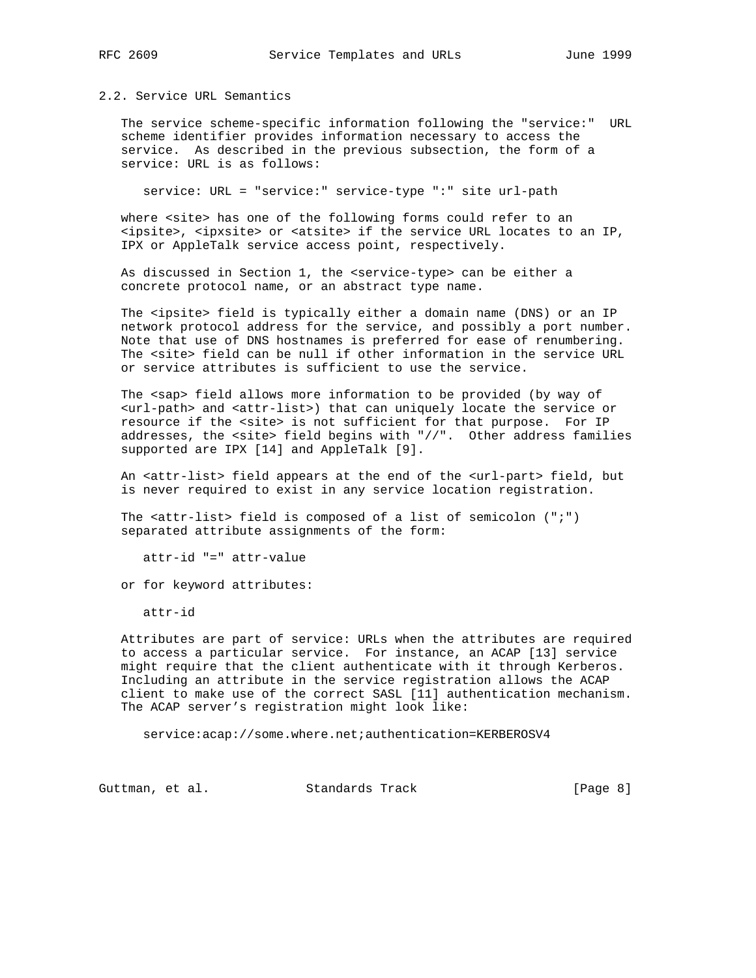# 2.2. Service URL Semantics

 The service scheme-specific information following the "service:" URL scheme identifier provides information necessary to access the service. As described in the previous subsection, the form of a service: URL is as follows:

service: URL = "service:" service-type ":" site url-path

where <site> has one of the following forms could refer to an <ipsite>, <ipxsite> or <atsite> if the service URL locates to an IP, IPX or AppleTalk service access point, respectively.

 As discussed in Section 1, the <service-type> can be either a concrete protocol name, or an abstract type name.

The <ipsite> field is typically either a domain name (DNS) or an IP network protocol address for the service, and possibly a port number. Note that use of DNS hostnames is preferred for ease of renumbering. The <site> field can be null if other information in the service URL or service attributes is sufficient to use the service.

 The <sap> field allows more information to be provided (by way of <url-path> and <attr-list>) that can uniquely locate the service or resource if the <site> is not sufficient for that purpose. For IP addresses, the <site> field begins with "//". Other address families supported are IPX [14] and AppleTalk [9].

 An <attr-list> field appears at the end of the <url-part> field, but is never required to exist in any service location registration.

 The <attr-list> field is composed of a list of semicolon (";") separated attribute assignments of the form:

attr-id "=" attr-value

or for keyword attributes:

attr-id

 Attributes are part of service: URLs when the attributes are required to access a particular service. For instance, an ACAP [13] service might require that the client authenticate with it through Kerberos. Including an attribute in the service registration allows the ACAP client to make use of the correct SASL [11] authentication mechanism. The ACAP server's registration might look like:

service:acap://some.where.net;authentication=KERBEROSV4

Guttman, et al. Standards Track [Page 8]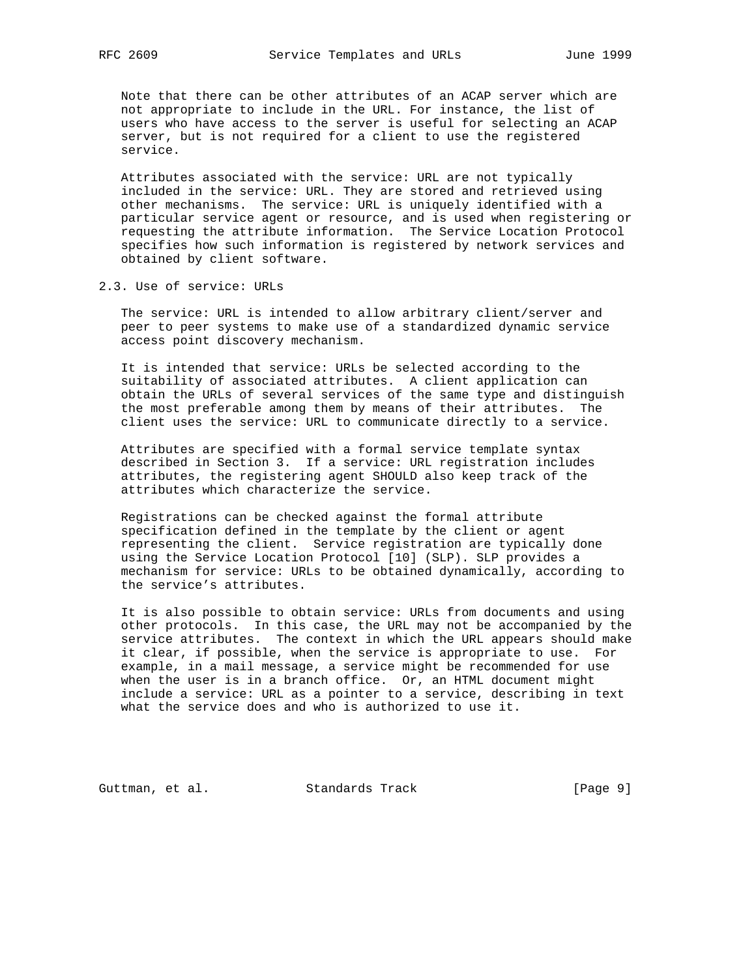Note that there can be other attributes of an ACAP server which are not appropriate to include in the URL. For instance, the list of users who have access to the server is useful for selecting an ACAP server, but is not required for a client to use the registered service.

 Attributes associated with the service: URL are not typically included in the service: URL. They are stored and retrieved using other mechanisms. The service: URL is uniquely identified with a particular service agent or resource, and is used when registering or requesting the attribute information. The Service Location Protocol specifies how such information is registered by network services and obtained by client software.

2.3. Use of service: URLs

 The service: URL is intended to allow arbitrary client/server and peer to peer systems to make use of a standardized dynamic service access point discovery mechanism.

 It is intended that service: URLs be selected according to the suitability of associated attributes. A client application can obtain the URLs of several services of the same type and distinguish the most preferable among them by means of their attributes. The client uses the service: URL to communicate directly to a service.

 Attributes are specified with a formal service template syntax described in Section 3. If a service: URL registration includes attributes, the registering agent SHOULD also keep track of the attributes which characterize the service.

 Registrations can be checked against the formal attribute specification defined in the template by the client or agent representing the client. Service registration are typically done using the Service Location Protocol [10] (SLP). SLP provides a mechanism for service: URLs to be obtained dynamically, according to the service's attributes.

 It is also possible to obtain service: URLs from documents and using other protocols. In this case, the URL may not be accompanied by the service attributes. The context in which the URL appears should make it clear, if possible, when the service is appropriate to use. For example, in a mail message, a service might be recommended for use when the user is in a branch office. Or, an HTML document might include a service: URL as a pointer to a service, describing in text what the service does and who is authorized to use it.

Guttman, et al. Standards Track [Page 9]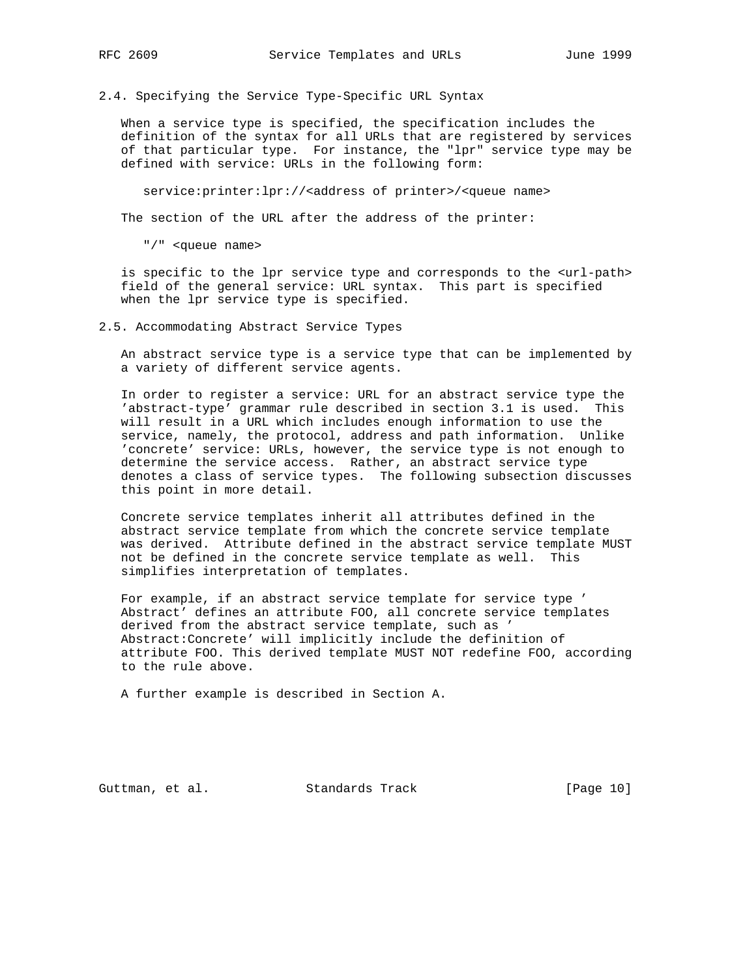2.4. Specifying the Service Type-Specific URL Syntax

 When a service type is specified, the specification includes the definition of the syntax for all URLs that are registered by services of that particular type. For instance, the "lpr" service type may be defined with service: URLs in the following form:

service: printer: lpr://<address of printer>/<queue name>

The section of the URL after the address of the printer:

"/" <queue name>

 is specific to the lpr service type and corresponds to the <url-path> field of the general service: URL syntax. This part is specified when the lpr service type is specified.

2.5. Accommodating Abstract Service Types

 An abstract service type is a service type that can be implemented by a variety of different service agents.

 In order to register a service: URL for an abstract service type the 'abstract-type' grammar rule described in section 3.1 is used. This will result in a URL which includes enough information to use the service, namely, the protocol, address and path information. Unlike 'concrete' service: URLs, however, the service type is not enough to determine the service access. Rather, an abstract service type denotes a class of service types. The following subsection discusses this point in more detail.

 Concrete service templates inherit all attributes defined in the abstract service template from which the concrete service template was derived. Attribute defined in the abstract service template MUST not be defined in the concrete service template as well. This simplifies interpretation of templates.

 For example, if an abstract service template for service type ' Abstract' defines an attribute FOO, all concrete service templates derived from the abstract service template, such as ' Abstract:Concrete' will implicitly include the definition of attribute FOO. This derived template MUST NOT redefine FOO, according to the rule above.

A further example is described in Section A.

Guttman, et al. Standards Track [Page 10]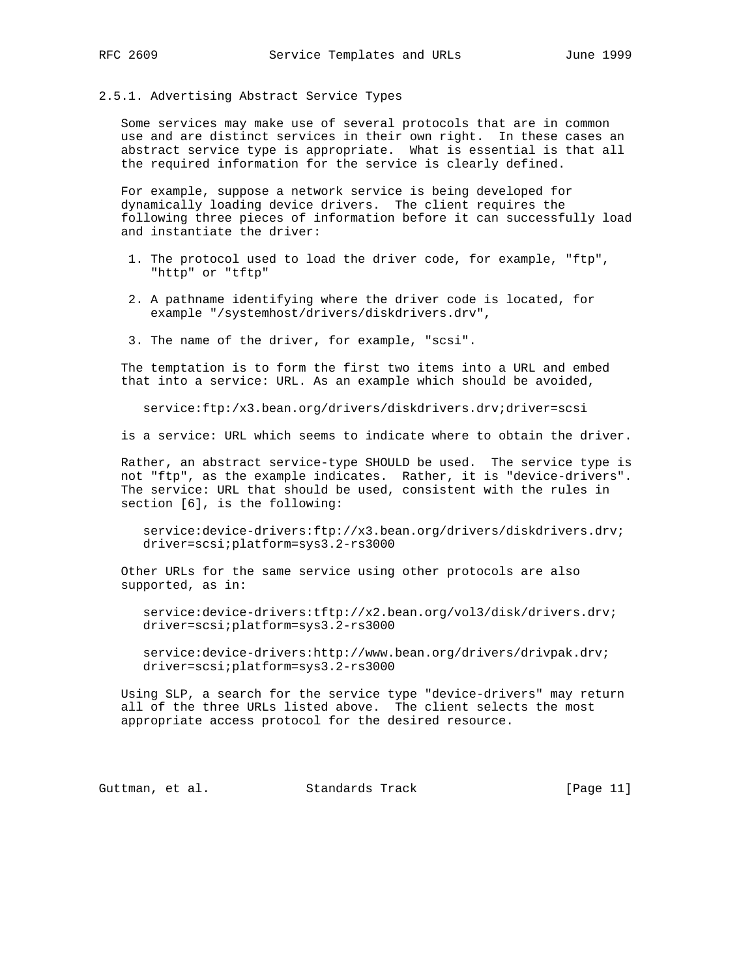## 2.5.1. Advertising Abstract Service Types

 Some services may make use of several protocols that are in common use and are distinct services in their own right. In these cases an abstract service type is appropriate. What is essential is that all the required information for the service is clearly defined.

 For example, suppose a network service is being developed for dynamically loading device drivers. The client requires the following three pieces of information before it can successfully load and instantiate the driver:

- 1. The protocol used to load the driver code, for example, "ftp", "http" or "tftp"
- 2. A pathname identifying where the driver code is located, for example "/systemhost/drivers/diskdrivers.drv",
- 3. The name of the driver, for example, "scsi".

 The temptation is to form the first two items into a URL and embed that into a service: URL. As an example which should be avoided,

service:ftp:/x3.bean.org/drivers/diskdrivers.drv;driver=scsi

is a service: URL which seems to indicate where to obtain the driver.

 Rather, an abstract service-type SHOULD be used. The service type is not "ftp", as the example indicates. Rather, it is "device-drivers". The service: URL that should be used, consistent with the rules in section [6], is the following:

 service:device-drivers:ftp://x3.bean.org/drivers/diskdrivers.drv; driver=scsi;platform=sys3.2-rs3000

 Other URLs for the same service using other protocols are also supported, as in:

 service:device-drivers:tftp://x2.bean.org/vol3/disk/drivers.drv; driver=scsi;platform=sys3.2-rs3000

 service:device-drivers:http://www.bean.org/drivers/drivpak.drv; driver=scsi;platform=sys3.2-rs3000

 Using SLP, a search for the service type "device-drivers" may return all of the three URLs listed above. The client selects the most appropriate access protocol for the desired resource.

Guttman, et al. Standards Track [Page 11]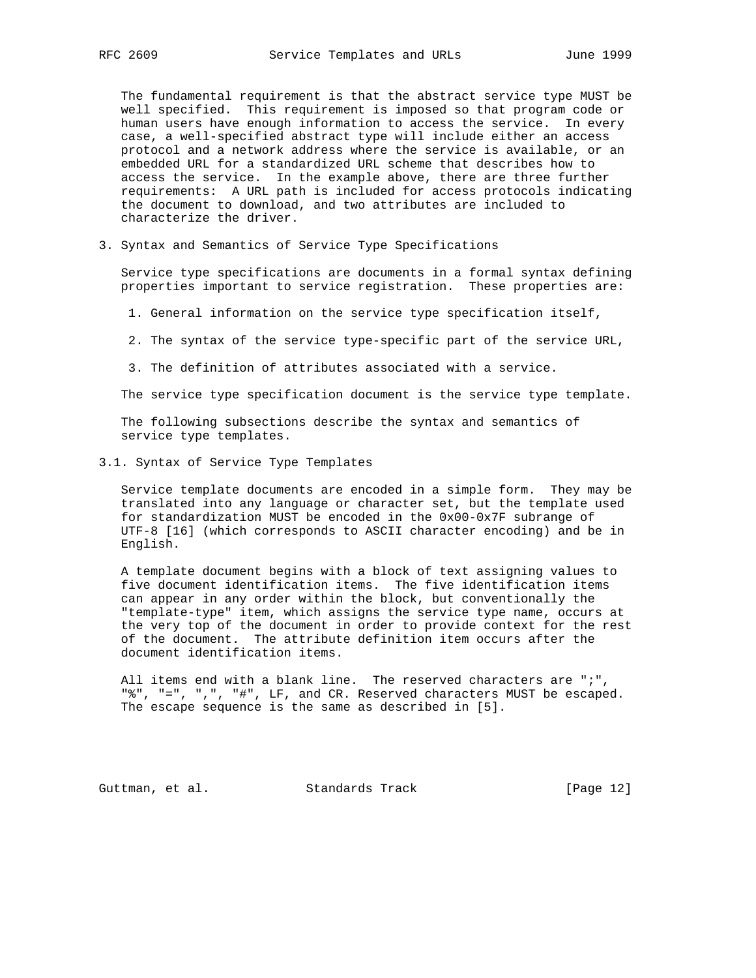The fundamental requirement is that the abstract service type MUST be well specified. This requirement is imposed so that program code or human users have enough information to access the service. In every case, a well-specified abstract type will include either an access protocol and a network address where the service is available, or an embedded URL for a standardized URL scheme that describes how to access the service. In the example above, there are three further requirements: A URL path is included for access protocols indicating the document to download, and two attributes are included to characterize the driver.

3. Syntax and Semantics of Service Type Specifications

 Service type specifications are documents in a formal syntax defining properties important to service registration. These properties are:

- 1. General information on the service type specification itself,
- 2. The syntax of the service type-specific part of the service URL,
- 3. The definition of attributes associated with a service.

The service type specification document is the service type template.

 The following subsections describe the syntax and semantics of service type templates.

3.1. Syntax of Service Type Templates

 Service template documents are encoded in a simple form. They may be translated into any language or character set, but the template used for standardization MUST be encoded in the 0x00-0x7F subrange of UTF-8 [16] (which corresponds to ASCII character encoding) and be in English.

 A template document begins with a block of text assigning values to five document identification items. The five identification items can appear in any order within the block, but conventionally the "template-type" item, which assigns the service type name, occurs at the very top of the document in order to provide context for the rest of the document. The attribute definition item occurs after the document identification items.

 All items end with a blank line. The reserved characters are ";", "%", "=", ",", "#", LF, and CR. Reserved characters MUST be escaped. The escape sequence is the same as described in [5].

Guttman, et al. Standards Track [Page 12]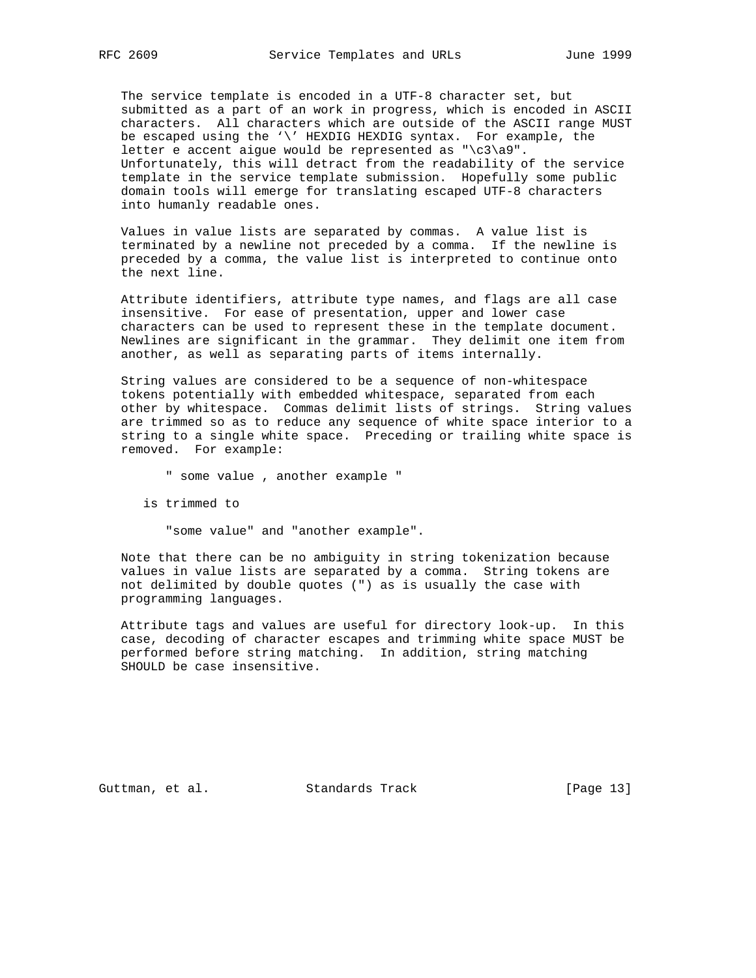The service template is encoded in a UTF-8 character set, but submitted as a part of an work in progress, which is encoded in ASCII characters. All characters which are outside of the ASCII range MUST be escaped using the '\' HEXDIG HEXDIG syntax. For example, the letter e accent aigue would be represented as "\c3\a9". Unfortunately, this will detract from the readability of the service template in the service template submission. Hopefully some public domain tools will emerge for translating escaped UTF-8 characters into humanly readable ones.

 Values in value lists are separated by commas. A value list is terminated by a newline not preceded by a comma. If the newline is preceded by a comma, the value list is interpreted to continue onto the next line.

 Attribute identifiers, attribute type names, and flags are all case insensitive. For ease of presentation, upper and lower case characters can be used to represent these in the template document. Newlines are significant in the grammar. They delimit one item from another, as well as separating parts of items internally.

 String values are considered to be a sequence of non-whitespace tokens potentially with embedded whitespace, separated from each other by whitespace. Commas delimit lists of strings. String values are trimmed so as to reduce any sequence of white space interior to a string to a single white space. Preceding or trailing white space is removed. For example:

" some value , another example "

is trimmed to

"some value" and "another example".

 Note that there can be no ambiguity in string tokenization because values in value lists are separated by a comma. String tokens are not delimited by double quotes (") as is usually the case with programming languages.

 Attribute tags and values are useful for directory look-up. In this case, decoding of character escapes and trimming white space MUST be performed before string matching. In addition, string matching SHOULD be case insensitive.

Guttman, et al. Standards Track [Page 13]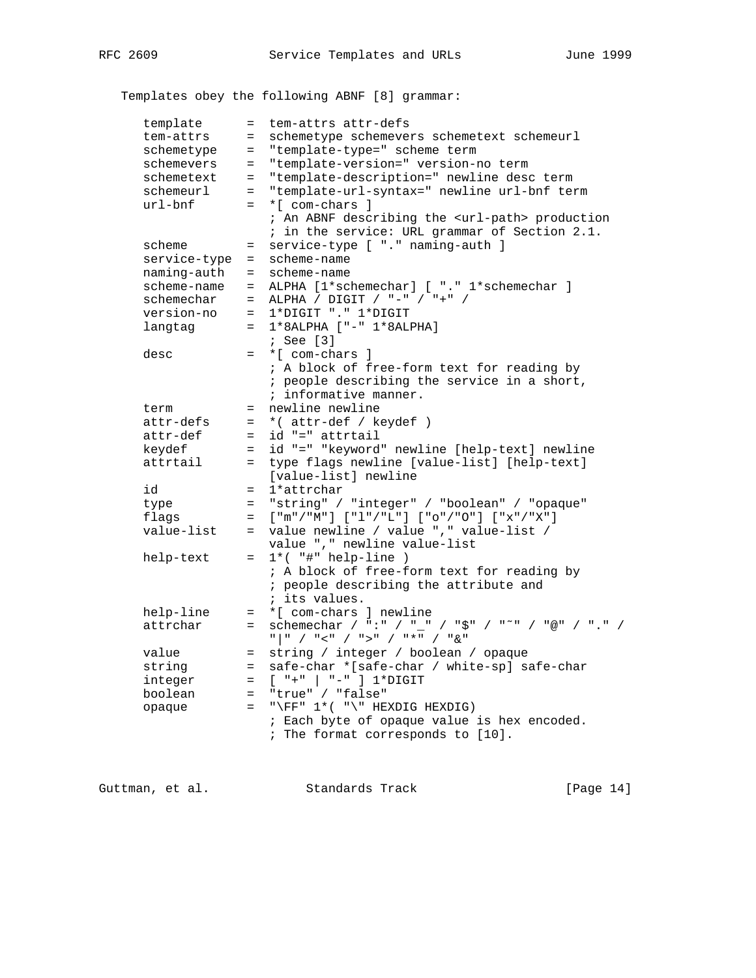Templates obey the following ABNF [8] grammar:

| template     | $=$ | tem-attrs attr-defs                                                                                |
|--------------|-----|----------------------------------------------------------------------------------------------------|
| tem-attrs    | $=$ | schemetype schemevers schemetext schemeurl                                                         |
| schemetype   | $=$ | "template-type=" scheme term                                                                       |
| schemevers   | $=$ | "template-version=" version-no term                                                                |
| schemetext   | $=$ | "template-description=" newline desc term                                                          |
| schemeurl    | $=$ | "template-url-syntax=" newline url-bnf term                                                        |
| $url-bnf$    | $=$ | *[ com-chars ]                                                                                     |
|              |     | ; An ABNF describing the <url-path> production</url-path>                                          |
|              |     | ; in the service: URL grammar of Section 2.1.                                                      |
| scheme       | $=$ | service-type [ "." naming-auth ]                                                                   |
| service-type | $=$ | scheme-name                                                                                        |
| naming-auth  | $=$ | scheme-name                                                                                        |
| scheme-name  | $=$ | ALPHA [1*schemechar] [ "." 1*schemechar ]                                                          |
| schemechar   | $=$ | ALPHA / DIGIT / "-" / "+" /                                                                        |
| version-no   | $=$ | 1*DIGIT "." 1*DIGIT                                                                                |
| langtag      |     | $= 1*8$ ALPHA ["-" $1*8$ ALPHA]                                                                    |
|              |     | $;$ See [3]                                                                                        |
| desc         |     | = *[ com-chars ]                                                                                   |
|              |     | ; A block of free-form text for reading by                                                         |
|              |     | ; people describing the service in a short,                                                        |
|              |     | ; informative manner.                                                                              |
| term         | $=$ | newline newline                                                                                    |
| attr-defs    | $=$ | *( attr-def / keydef )                                                                             |
| attr-def     | $=$ | id "=" attrtail                                                                                    |
| keydef       | $=$ | id "=" "keyword" newline [help-text] newline                                                       |
| attrtail     | $=$ | type flags newline [value-list] [help-text]                                                        |
|              |     | [value-list] newline                                                                               |
| id           | $=$ | 1*attrchar                                                                                         |
| type         | $=$ | "string" / "integer" / "boolean" / "opaque"<br>$[$ "m"/"M"] $[$ "l"/"L"] $[$ "o"/"0"] $[$ "x"/"X"] |
| flags        | $=$ | value newline / value "," value-list /                                                             |
| value-list   | $=$ | value ", " newline value-list                                                                      |
| help-text    | $=$ | $1*($ "#" help-line )                                                                              |
|              |     | ; A block of free-form text for reading by                                                         |
|              |     | ; people describing the attribute and                                                              |
|              |     | ; its values.                                                                                      |
| help-line    | $=$ | *[ com-chars ] newline                                                                             |
| attrchar     | $=$ | schemechar / ":" / "_" / "\$" / "~" / "@" / "." /                                                  |
|              |     |                                                                                                    |
| value        | $=$ | string / integer / boolean / opaque                                                                |
| string       | $=$ | safe-char *[safe-char / white-sp] safe-char                                                        |
| integer      | $=$ | $[$ "+" $]$ "-" $]$ 1*DIGIT                                                                        |
| boolean      | $=$ | "true" / "false"                                                                                   |
| opaque       | $=$ | "\FF" $1*(-")$ " HEXDIG HEXDIG)                                                                    |
|              |     | ; Each byte of opaque value is hex encoded.                                                        |
|              |     | ; The format corresponds to [10].                                                                  |
|              |     |                                                                                                    |

Guttman, et al. Standards Track [Page 14]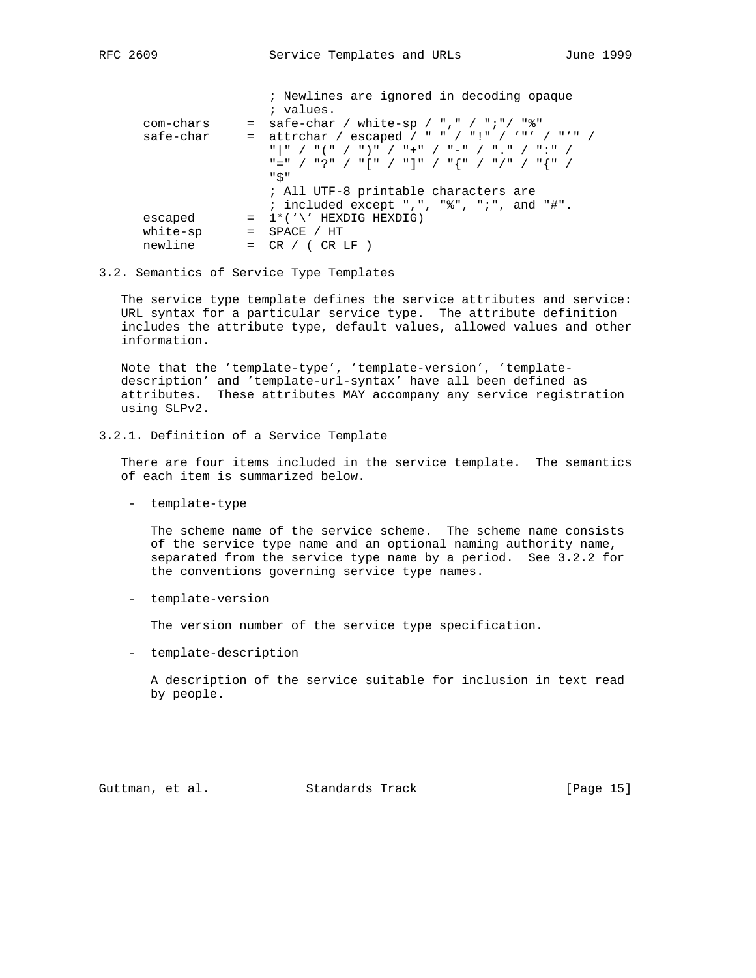|           |         | ; Newlines are ignored in decoding opaque                                                                                                                                                                                                                                                                                                                                                                                                  |
|-----------|---------|--------------------------------------------------------------------------------------------------------------------------------------------------------------------------------------------------------------------------------------------------------------------------------------------------------------------------------------------------------------------------------------------------------------------------------------------|
|           |         | ; values.                                                                                                                                                                                                                                                                                                                                                                                                                                  |
| com-chars |         | = safe-char / white-sp / "," / ";"/ "%"                                                                                                                                                                                                                                                                                                                                                                                                    |
| safe-char |         | = attrchar / escaped / " " / "!" / ""' / "'" /                                                                                                                                                                                                                                                                                                                                                                                             |
|           |         | $\begin{array}{c ccccccccc} \mathfrak{n} & \mathfrak{n} & \mathfrak{m} & \mathfrak{m} & \mathfrak{m} & \mathfrak{m} & \mathfrak{m} & \mathfrak{m} & \mathfrak{m} & \mathfrak{m} & \mathfrak{m} & \mathfrak{m} & \mathfrak{m} & \mathfrak{m} & \mathfrak{m} & \mathfrak{m} & \mathfrak{m} & \mathfrak{m} & \mathfrak{m} & \mathfrak{m} & \mathfrak{m} & \mathfrak{m} & \mathfrak{m} & \mathfrak{m} & \mathfrak{m} & \mathfrak{m} & \mathfr$ |
|           |         | "=" / "?" / "[" / "]" / "{" / "/" / "{" /                                                                                                                                                                                                                                                                                                                                                                                                  |
|           |         | "\$"                                                                                                                                                                                                                                                                                                                                                                                                                                       |
|           |         | ; All UTF-8 printable characters are                                                                                                                                                                                                                                                                                                                                                                                                       |
|           |         | ; included except ",", "%", ";", and "#".                                                                                                                                                                                                                                                                                                                                                                                                  |
| escaped   |         | $= 1$ * $( \vee )$ ' HEXDIG HEXDIG)                                                                                                                                                                                                                                                                                                                                                                                                        |
| white-sp  | $=$ $-$ | SPACE / HT                                                                                                                                                                                                                                                                                                                                                                                                                                 |
| newline   | $=$     | CR / (CR LF)                                                                                                                                                                                                                                                                                                                                                                                                                               |
|           |         |                                                                                                                                                                                                                                                                                                                                                                                                                                            |

### 3.2. Semantics of Service Type Templates

 The service type template defines the service attributes and service: URL syntax for a particular service type. The attribute definition includes the attribute type, default values, allowed values and other information.

 Note that the 'template-type', 'template-version', 'template description' and 'template-url-syntax' have all been defined as attributes. These attributes MAY accompany any service registration using SLPv2.

3.2.1. Definition of a Service Template

 There are four items included in the service template. The semantics of each item is summarized below.

- template-type

 The scheme name of the service scheme. The scheme name consists of the service type name and an optional naming authority name, separated from the service type name by a period. See 3.2.2 for the conventions governing service type names.

- template-version

The version number of the service type specification.

- template-description

 A description of the service suitable for inclusion in text read by people.

Guttman, et al. Standards Track [Page 15]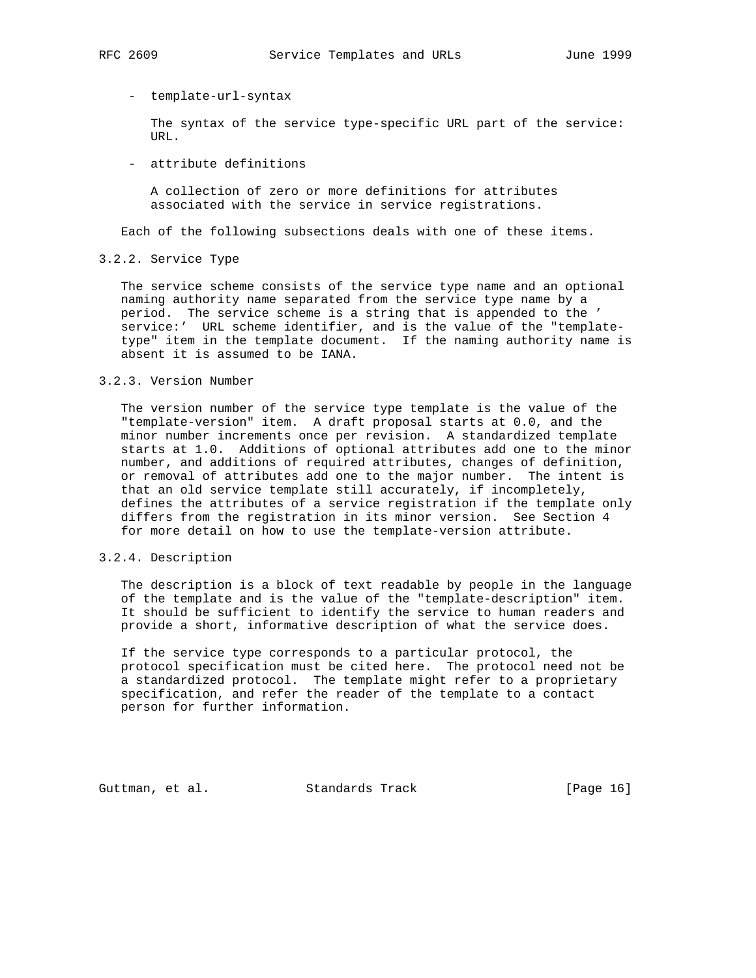## - template-url-syntax

 The syntax of the service type-specific URL part of the service: URL.

- attribute definitions

 A collection of zero or more definitions for attributes associated with the service in service registrations.

Each of the following subsections deals with one of these items.

3.2.2. Service Type

 The service scheme consists of the service type name and an optional naming authority name separated from the service type name by a period. The service scheme is a string that is appended to the ' service:' URL scheme identifier, and is the value of the "template type" item in the template document. If the naming authority name is absent it is assumed to be IANA.

## 3.2.3. Version Number

 The version number of the service type template is the value of the "template-version" item. A draft proposal starts at 0.0, and the minor number increments once per revision. A standardized template starts at 1.0. Additions of optional attributes add one to the minor number, and additions of required attributes, changes of definition, or removal of attributes add one to the major number. The intent is that an old service template still accurately, if incompletely, defines the attributes of a service registration if the template only differs from the registration in its minor version. See Section 4 for more detail on how to use the template-version attribute.

3.2.4. Description

 The description is a block of text readable by people in the language of the template and is the value of the "template-description" item. It should be sufficient to identify the service to human readers and provide a short, informative description of what the service does.

 If the service type corresponds to a particular protocol, the protocol specification must be cited here. The protocol need not be a standardized protocol. The template might refer to a proprietary specification, and refer the reader of the template to a contact person for further information.

Guttman, et al. Standards Track [Page 16]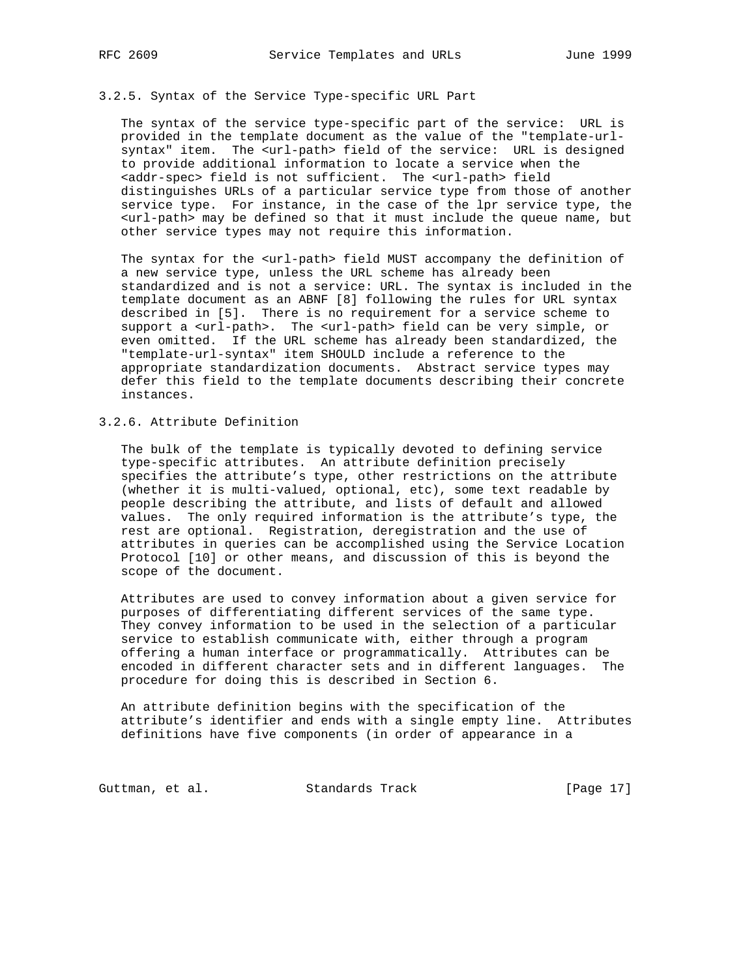## 3.2.5. Syntax of the Service Type-specific URL Part

 The syntax of the service type-specific part of the service: URL is provided in the template document as the value of the "template-url syntax" item. The <url-path> field of the service: URL is designed to provide additional information to locate a service when the <addr-spec> field is not sufficient. The <url-path> field distinguishes URLs of a particular service type from those of another service type. For instance, in the case of the lpr service type, the <url-path> may be defined so that it must include the queue name, but other service types may not require this information.

 The syntax for the <url-path> field MUST accompany the definition of a new service type, unless the URL scheme has already been standardized and is not a service: URL. The syntax is included in the template document as an ABNF [8] following the rules for URL syntax described in [5]. There is no requirement for a service scheme to support a <url-path>. The <url-path> field can be very simple, or even omitted. If the URL scheme has already been standardized, the "template-url-syntax" item SHOULD include a reference to the appropriate standardization documents. Abstract service types may defer this field to the template documents describing their concrete instances.

# 3.2.6. Attribute Definition

 The bulk of the template is typically devoted to defining service type-specific attributes. An attribute definition precisely specifies the attribute's type, other restrictions on the attribute (whether it is multi-valued, optional, etc), some text readable by people describing the attribute, and lists of default and allowed values. The only required information is the attribute's type, the rest are optional. Registration, deregistration and the use of attributes in queries can be accomplished using the Service Location Protocol [10] or other means, and discussion of this is beyond the scope of the document.

 Attributes are used to convey information about a given service for purposes of differentiating different services of the same type. They convey information to be used in the selection of a particular service to establish communicate with, either through a program offering a human interface or programmatically. Attributes can be encoded in different character sets and in different languages. The procedure for doing this is described in Section 6.

 An attribute definition begins with the specification of the attribute's identifier and ends with a single empty line. Attributes definitions have five components (in order of appearance in a

Guttman, et al. Standards Track [Page 17]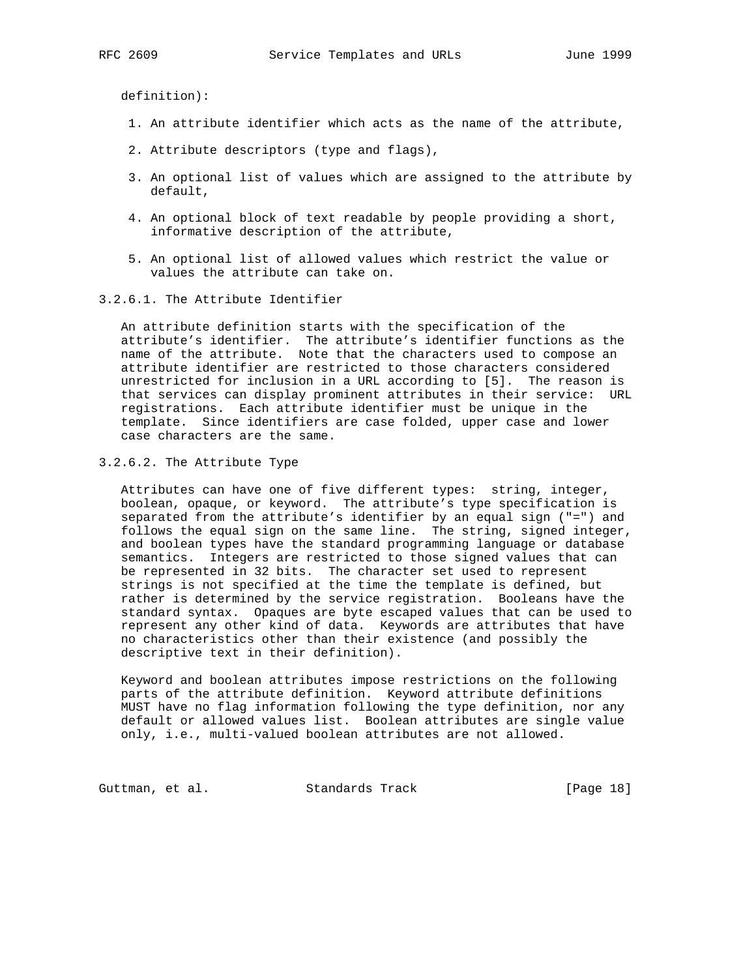definition):

- 1. An attribute identifier which acts as the name of the attribute,
- 2. Attribute descriptors (type and flags),
- 3. An optional list of values which are assigned to the attribute by default,
- 4. An optional block of text readable by people providing a short, informative description of the attribute,
- 5. An optional list of allowed values which restrict the value or values the attribute can take on.
- 3.2.6.1. The Attribute Identifier

 An attribute definition starts with the specification of the attribute's identifier. The attribute's identifier functions as the name of the attribute. Note that the characters used to compose an attribute identifier are restricted to those characters considered unrestricted for inclusion in a URL according to [5]. The reason is that services can display prominent attributes in their service: URL registrations. Each attribute identifier must be unique in the template. Since identifiers are case folded, upper case and lower case characters are the same.

## 3.2.6.2. The Attribute Type

 Attributes can have one of five different types: string, integer, boolean, opaque, or keyword. The attribute's type specification is separated from the attribute's identifier by an equal sign ("=") and follows the equal sign on the same line. The string, signed integer, and boolean types have the standard programming language or database semantics. Integers are restricted to those signed values that can be represented in 32 bits. The character set used to represent strings is not specified at the time the template is defined, but rather is determined by the service registration. Booleans have the standard syntax. Opaques are byte escaped values that can be used to represent any other kind of data. Keywords are attributes that have no characteristics other than their existence (and possibly the descriptive text in their definition).

 Keyword and boolean attributes impose restrictions on the following parts of the attribute definition. Keyword attribute definitions MUST have no flag information following the type definition, nor any default or allowed values list. Boolean attributes are single value only, i.e., multi-valued boolean attributes are not allowed.

Guttman, et al. Standards Track [Page 18]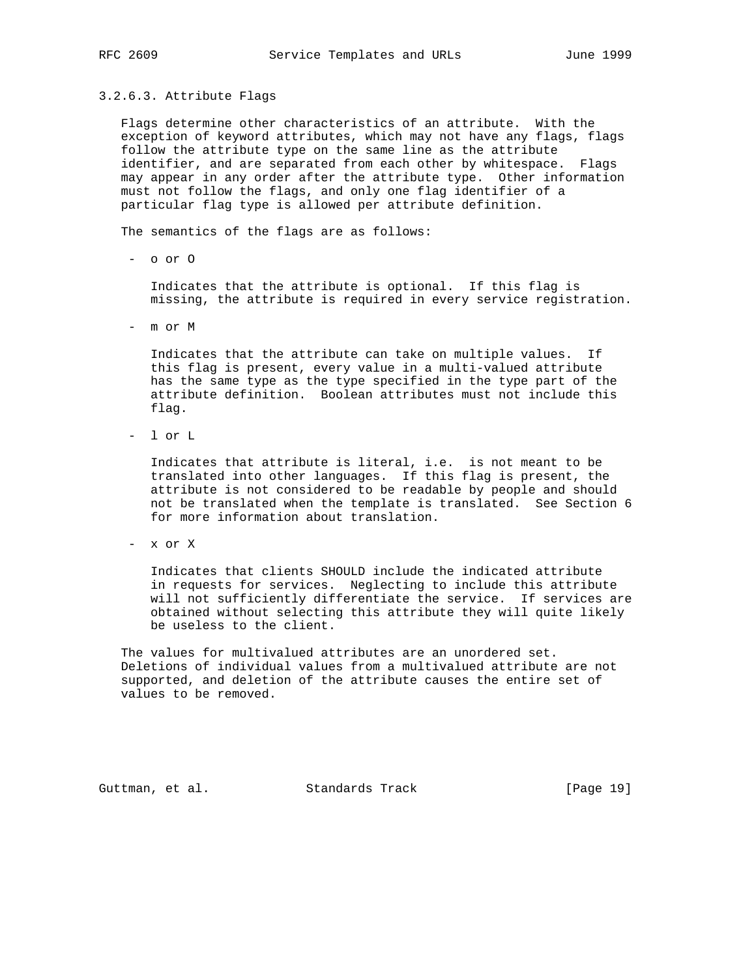### 3.2.6.3. Attribute Flags

 Flags determine other characteristics of an attribute. With the exception of keyword attributes, which may not have any flags, flags follow the attribute type on the same line as the attribute identifier, and are separated from each other by whitespace. Flags may appear in any order after the attribute type. Other information must not follow the flags, and only one flag identifier of a particular flag type is allowed per attribute definition.

The semantics of the flags are as follows:

- o or O

 Indicates that the attribute is optional. If this flag is missing, the attribute is required in every service registration.

- m or M

 Indicates that the attribute can take on multiple values. If this flag is present, every value in a multi-valued attribute has the same type as the type specified in the type part of the attribute definition. Boolean attributes must not include this flag.

- l or L

 Indicates that attribute is literal, i.e. is not meant to be translated into other languages. If this flag is present, the attribute is not considered to be readable by people and should not be translated when the template is translated. See Section 6 for more information about translation.

- x or X

 Indicates that clients SHOULD include the indicated attribute in requests for services. Neglecting to include this attribute will not sufficiently differentiate the service. If services are obtained without selecting this attribute they will quite likely be useless to the client.

 The values for multivalued attributes are an unordered set. Deletions of individual values from a multivalued attribute are not supported, and deletion of the attribute causes the entire set of values to be removed.

Guttman, et al. Standards Track [Page 19]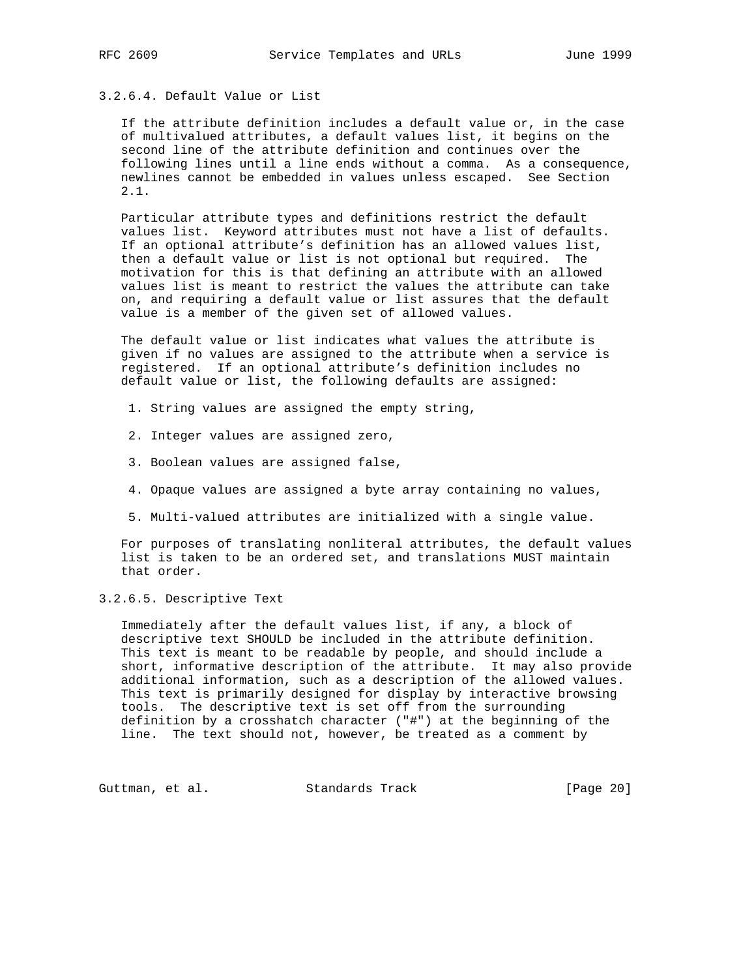# 3.2.6.4. Default Value or List

 If the attribute definition includes a default value or, in the case of multivalued attributes, a default values list, it begins on the second line of the attribute definition and continues over the following lines until a line ends without a comma. As a consequence, newlines cannot be embedded in values unless escaped. See Section 2.1.

 Particular attribute types and definitions restrict the default values list. Keyword attributes must not have a list of defaults. If an optional attribute's definition has an allowed values list, then a default value or list is not optional but required. The motivation for this is that defining an attribute with an allowed values list is meant to restrict the values the attribute can take on, and requiring a default value or list assures that the default value is a member of the given set of allowed values.

 The default value or list indicates what values the attribute is given if no values are assigned to the attribute when a service is registered. If an optional attribute's definition includes no default value or list, the following defaults are assigned:

- 1. String values are assigned the empty string,
- 2. Integer values are assigned zero,
- 3. Boolean values are assigned false,
- 4. Opaque values are assigned a byte array containing no values,
- 5. Multi-valued attributes are initialized with a single value.

 For purposes of translating nonliteral attributes, the default values list is taken to be an ordered set, and translations MUST maintain that order.

3.2.6.5. Descriptive Text

 Immediately after the default values list, if any, a block of descriptive text SHOULD be included in the attribute definition. This text is meant to be readable by people, and should include a short, informative description of the attribute. It may also provide additional information, such as a description of the allowed values. This text is primarily designed for display by interactive browsing tools. The descriptive text is set off from the surrounding definition by a crosshatch character ("#") at the beginning of the line. The text should not, however, be treated as a comment by

Guttman, et al. Standards Track [Page 20]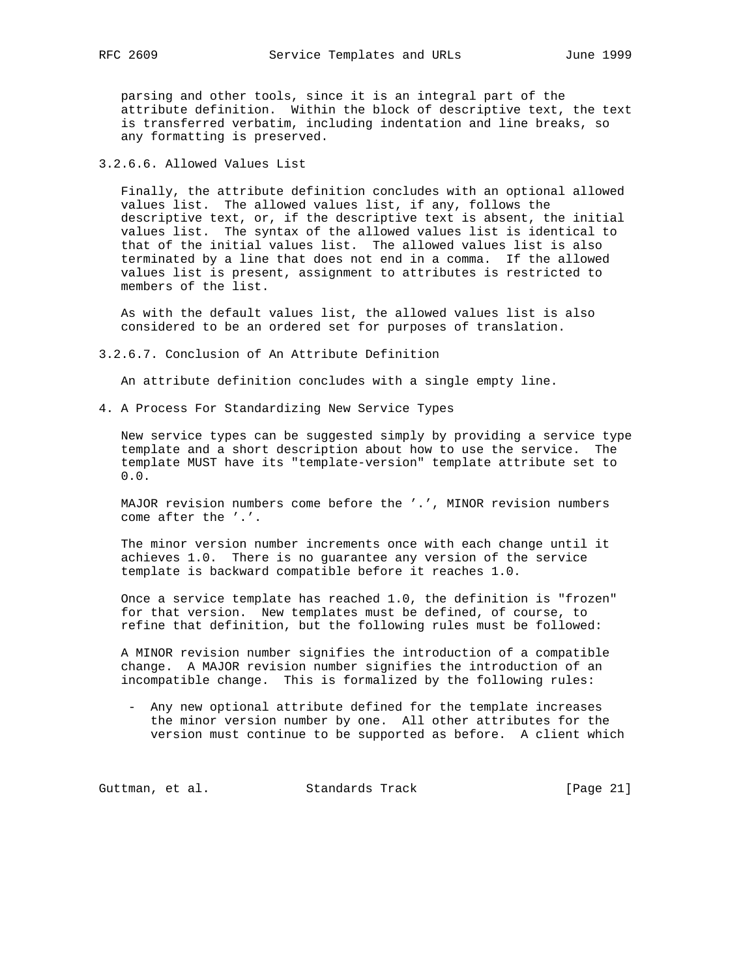parsing and other tools, since it is an integral part of the attribute definition. Within the block of descriptive text, the text is transferred verbatim, including indentation and line breaks, so any formatting is preserved.

3.2.6.6. Allowed Values List

 Finally, the attribute definition concludes with an optional allowed values list. The allowed values list, if any, follows the descriptive text, or, if the descriptive text is absent, the initial values list. The syntax of the allowed values list is identical to that of the initial values list. The allowed values list is also terminated by a line that does not end in a comma. If the allowed values list is present, assignment to attributes is restricted to members of the list.

 As with the default values list, the allowed values list is also considered to be an ordered set for purposes of translation.

3.2.6.7. Conclusion of An Attribute Definition

An attribute definition concludes with a single empty line.

4. A Process For Standardizing New Service Types

 New service types can be suggested simply by providing a service type template and a short description about how to use the service. The template MUST have its "template-version" template attribute set to 0.0.

 MAJOR revision numbers come before the '.', MINOR revision numbers come after the '.'.

 The minor version number increments once with each change until it achieves 1.0. There is no guarantee any version of the service template is backward compatible before it reaches 1.0.

 Once a service template has reached 1.0, the definition is "frozen" for that version. New templates must be defined, of course, to refine that definition, but the following rules must be followed:

 A MINOR revision number signifies the introduction of a compatible change. A MAJOR revision number signifies the introduction of an incompatible change. This is formalized by the following rules:

 - Any new optional attribute defined for the template increases the minor version number by one. All other attributes for the version must continue to be supported as before. A client which

Guttman, et al. Standards Track [Page 21]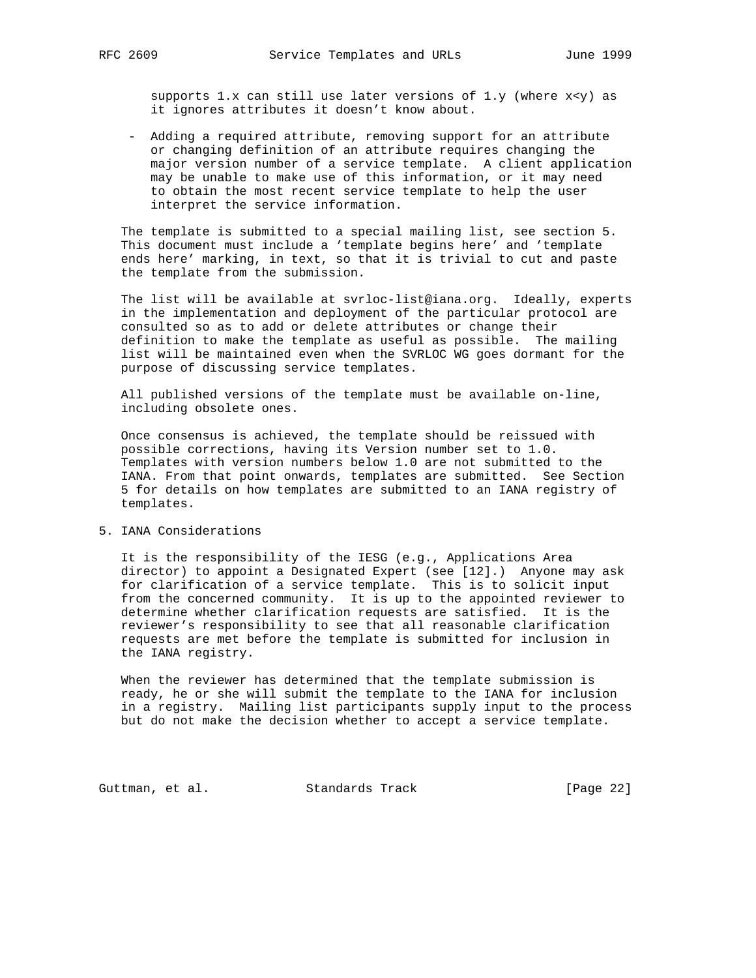supports  $1.x$  can still use later versions of  $1.y$  (where  $x < y$ ) as it ignores attributes it doesn't know about.

 - Adding a required attribute, removing support for an attribute or changing definition of an attribute requires changing the major version number of a service template. A client application may be unable to make use of this information, or it may need to obtain the most recent service template to help the user interpret the service information.

 The template is submitted to a special mailing list, see section 5. This document must include a 'template begins here' and 'template ends here' marking, in text, so that it is trivial to cut and paste the template from the submission.

 The list will be available at svrloc-list@iana.org. Ideally, experts in the implementation and deployment of the particular protocol are consulted so as to add or delete attributes or change their definition to make the template as useful as possible. The mailing list will be maintained even when the SVRLOC WG goes dormant for the purpose of discussing service templates.

 All published versions of the template must be available on-line, including obsolete ones.

 Once consensus is achieved, the template should be reissued with possible corrections, having its Version number set to 1.0. Templates with version numbers below 1.0 are not submitted to the IANA. From that point onwards, templates are submitted. See Section 5 for details on how templates are submitted to an IANA registry of templates.

## 5. IANA Considerations

 It is the responsibility of the IESG (e.g., Applications Area director) to appoint a Designated Expert (see [12].) Anyone may ask for clarification of a service template. This is to solicit input from the concerned community. It is up to the appointed reviewer to determine whether clarification requests are satisfied. It is the reviewer's responsibility to see that all reasonable clarification requests are met before the template is submitted for inclusion in the IANA registry.

 When the reviewer has determined that the template submission is ready, he or she will submit the template to the IANA for inclusion in a registry. Mailing list participants supply input to the process but do not make the decision whether to accept a service template.

Guttman, et al. Standards Track [Page 22]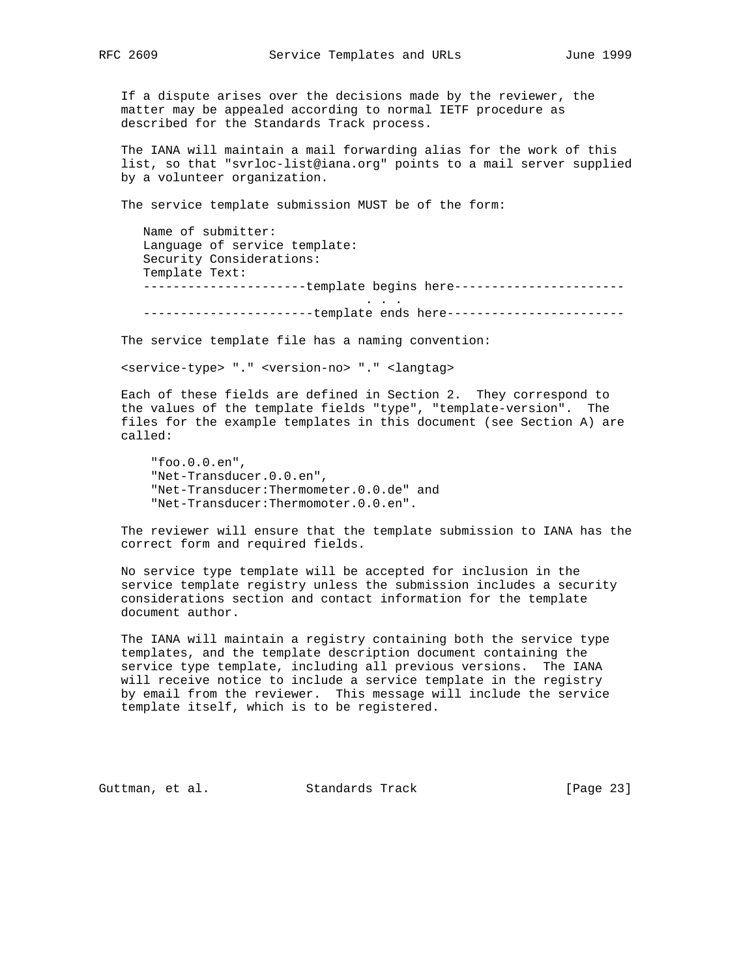If a dispute arises over the decisions made by the reviewer, the matter may be appealed according to normal IETF procedure as described for the Standards Track process.

 The IANA will maintain a mail forwarding alias for the work of this list, so that "svrloc-list@iana.org" points to a mail server supplied by a volunteer organization.

The service template submission MUST be of the form:

 Name of submitter: Language of service template: Security Considerations: Template Text: ----------------------template begins here----------------------- . . . -------------------------template ends here------------------------

The service template file has a naming convention:

<service-type> "." <version-no> "." <langtag>

 Each of these fields are defined in Section 2. They correspond to the values of the template fields "type", "template-version". The files for the example templates in this document (see Section A) are called:

 "foo.0.0.en", "Net-Transducer.0.0.en", "Net-Transducer:Thermometer.0.0.de" and "Net-Transducer:Thermomoter.0.0.en".

 The reviewer will ensure that the template submission to IANA has the correct form and required fields.

 No service type template will be accepted for inclusion in the service template registry unless the submission includes a security considerations section and contact information for the template document author.

 The IANA will maintain a registry containing both the service type templates, and the template description document containing the service type template, including all previous versions. The IANA will receive notice to include a service template in the registry by email from the reviewer. This message will include the service template itself, which is to be registered.

Guttman, et al. Standards Track [Page 23]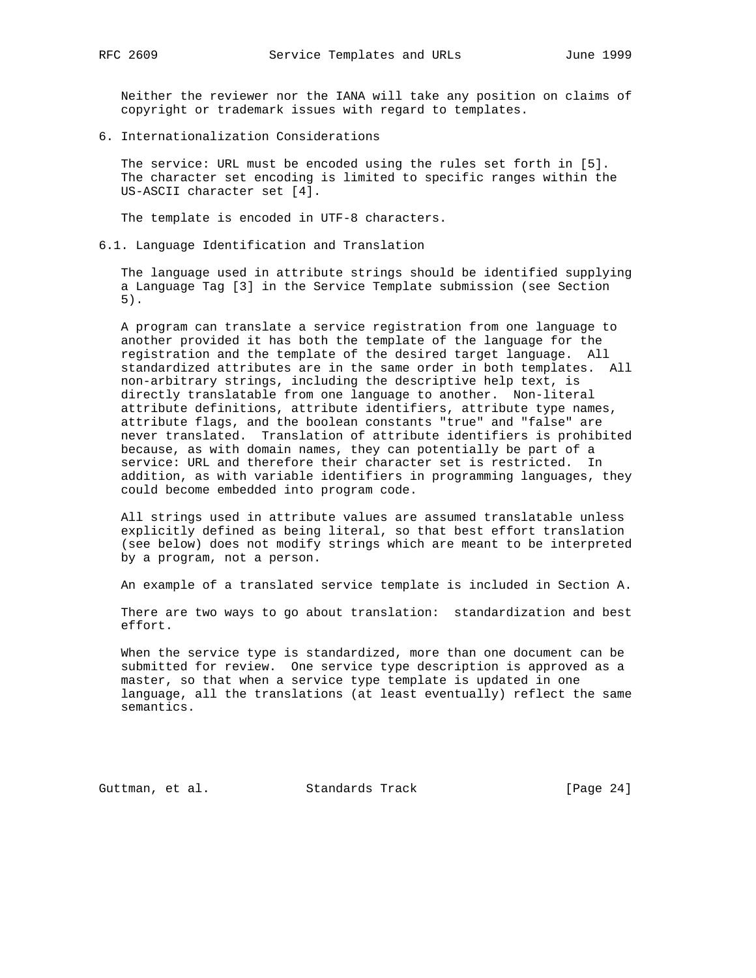Neither the reviewer nor the IANA will take any position on claims of copyright or trademark issues with regard to templates.

6. Internationalization Considerations

 The service: URL must be encoded using the rules set forth in [5]. The character set encoding is limited to specific ranges within the US-ASCII character set [4].

The template is encoded in UTF-8 characters.

6.1. Language Identification and Translation

 The language used in attribute strings should be identified supplying a Language Tag [3] in the Service Template submission (see Section 5).

 A program can translate a service registration from one language to another provided it has both the template of the language for the registration and the template of the desired target language. All standardized attributes are in the same order in both templates. All non-arbitrary strings, including the descriptive help text, is directly translatable from one language to another. Non-literal attribute definitions, attribute identifiers, attribute type names, attribute flags, and the boolean constants "true" and "false" are never translated. Translation of attribute identifiers is prohibited because, as with domain names, they can potentially be part of a service: URL and therefore their character set is restricted. In addition, as with variable identifiers in programming languages, they could become embedded into program code.

 All strings used in attribute values are assumed translatable unless explicitly defined as being literal, so that best effort translation (see below) does not modify strings which are meant to be interpreted by a program, not a person.

An example of a translated service template is included in Section A.

 There are two ways to go about translation: standardization and best effort.

 When the service type is standardized, more than one document can be submitted for review. One service type description is approved as a master, so that when a service type template is updated in one language, all the translations (at least eventually) reflect the same semantics.

Guttman, et al. Standards Track [Page 24]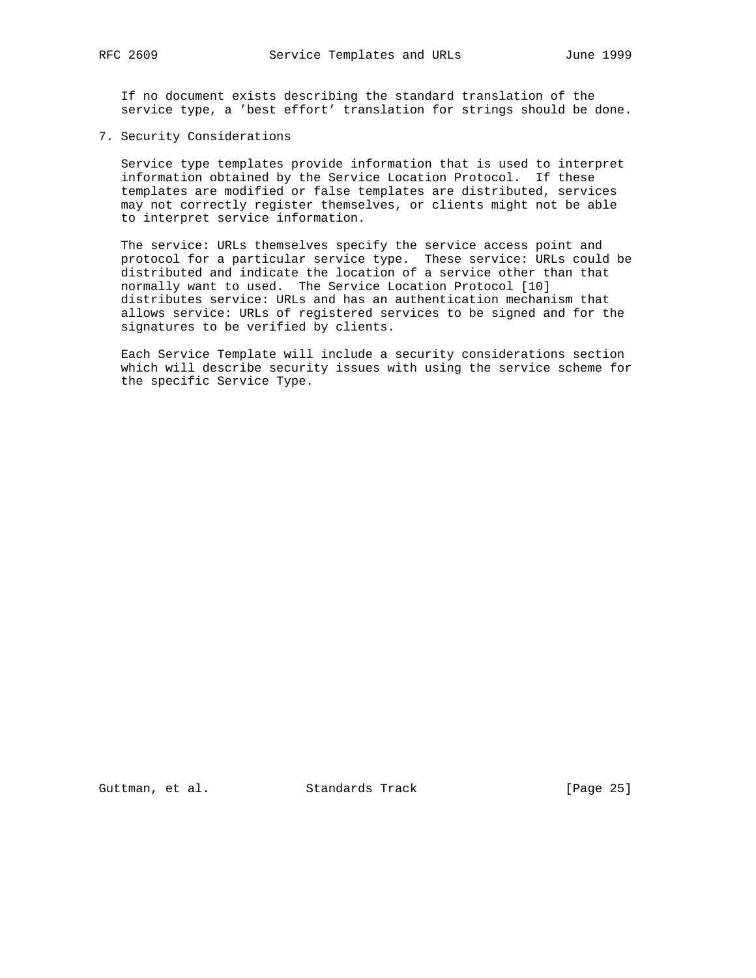If no document exists describing the standard translation of the service type, a 'best effort' translation for strings should be done.

7. Security Considerations

 Service type templates provide information that is used to interpret information obtained by the Service Location Protocol. If these templates are modified or false templates are distributed, services may not correctly register themselves, or clients might not be able to interpret service information.

 The service: URLs themselves specify the service access point and protocol for a particular service type. These service: URLs could be distributed and indicate the location of a service other than that normally want to used. The Service Location Protocol [10] distributes service: URLs and has an authentication mechanism that allows service: URLs of registered services to be signed and for the signatures to be verified by clients.

 Each Service Template will include a security considerations section which will describe security issues with using the service scheme for the specific Service Type.

Guttman, et al. Standards Track [Page 25]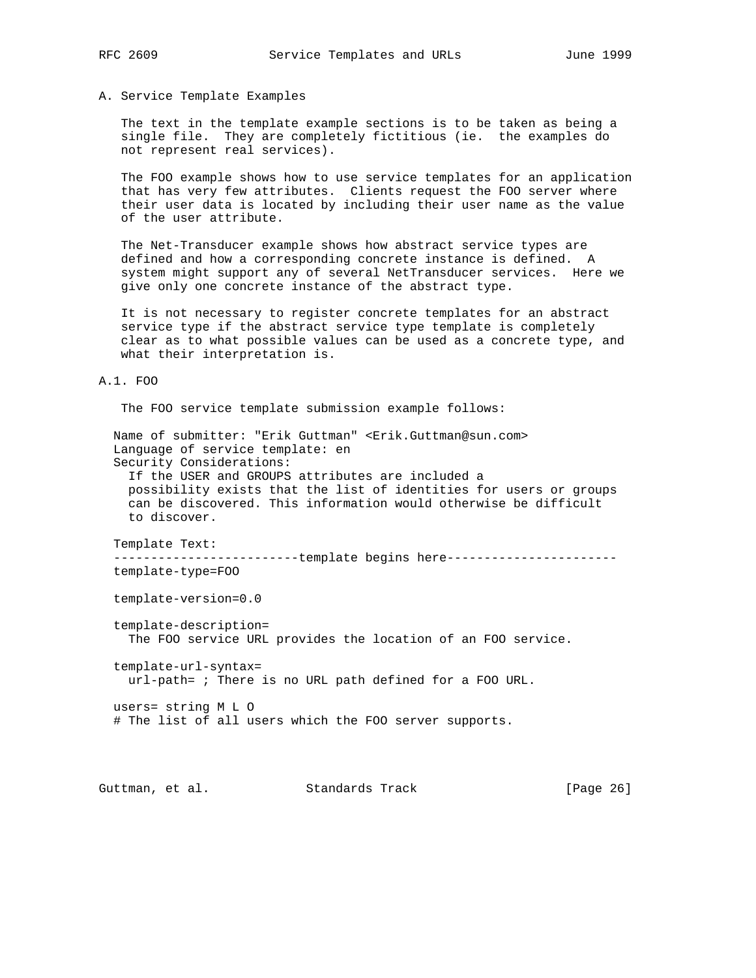### A. Service Template Examples

 The text in the template example sections is to be taken as being a single file. They are completely fictitious (ie. the examples do not represent real services).

 The FOO example shows how to use service templates for an application that has very few attributes. Clients request the FOO server where their user data is located by including their user name as the value of the user attribute.

 The Net-Transducer example shows how abstract service types are defined and how a corresponding concrete instance is defined. A system might support any of several NetTransducer services. Here we give only one concrete instance of the abstract type.

 It is not necessary to register concrete templates for an abstract service type if the abstract service type template is completely clear as to what possible values can be used as a concrete type, and what their interpretation is.

### A.1. FOO

The FOO service template submission example follows:

 Name of submitter: "Erik Guttman" <Erik.Guttman@sun.com> Language of service template: en Security Considerations: If the USER and GROUPS attributes are included a possibility exists that the list of identities for users or groups can be discovered. This information would otherwise be difficult to discover.

Template Text:

--------------------------template begins here-----------------------template-type=FOO

template-version=0.0

template-description=

The FOO service URL provides the location of an FOO service.

 template-url-syntax= url-path= ; There is no URL path defined for a FOO URL.

 users= string M L O # The list of all users which the FOO server supports.

Guttman, et al. Standards Track [Page 26]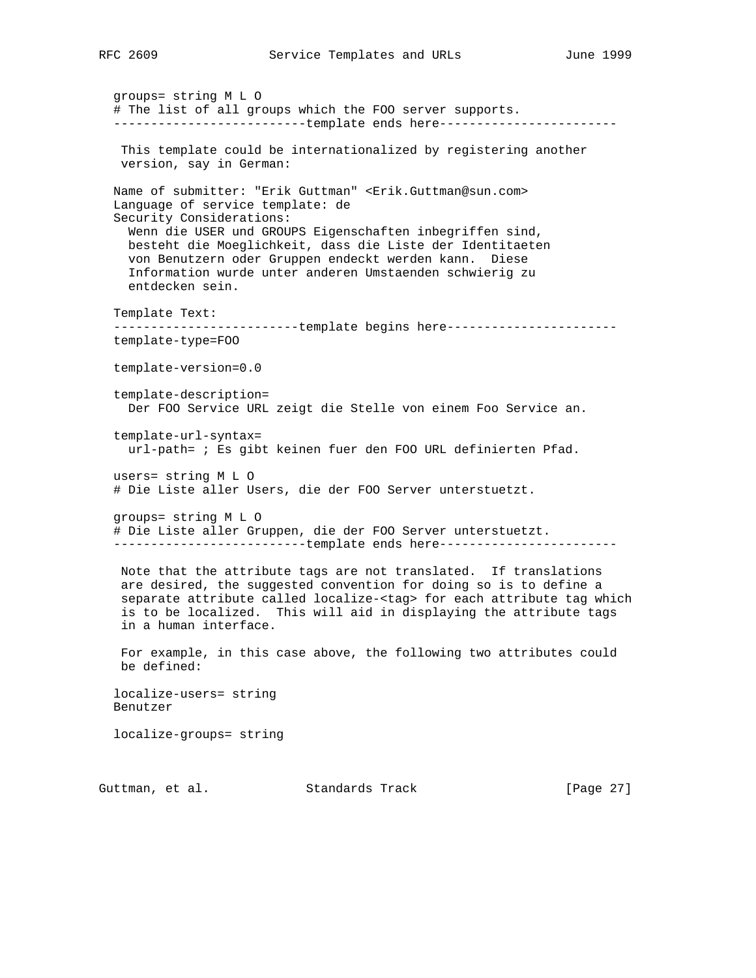groups= string M L O # The list of all groups which the FOO server supports. --------------------------template ends here------------------------ This template could be internationalized by registering another version, say in German: Name of submitter: "Erik Guttman" <Erik.Guttman@sun.com> Language of service template: de Security Considerations: Wenn die USER und GROUPS Eigenschaften inbegriffen sind, besteht die Moeglichkeit, dass die Liste der Identitaeten von Benutzern oder Gruppen endeckt werden kann. Diese Information wurde unter anderen Umstaenden schwierig zu entdecken sein. Template Text: -------------------------template begins here---------------------- template-type=FOO template-version=0.0 template-description= Der FOO Service URL zeigt die Stelle von einem Foo Service an. template-url-syntax= url-path= ; Es gibt keinen fuer den FOO URL definierten Pfad. users= string M L O # Die Liste aller Users, die der FOO Server unterstuetzt. groups= string M L O # Die Liste aller Gruppen, die der FOO Server unterstuetzt. ---------------------------template ends here------------------------- Note that the attribute tags are not translated. If translations are desired, the suggested convention for doing so is to define a separate attribute called localize-<tag> for each attribute tag which is to be localized. This will aid in displaying the attribute tags in a human interface. For example, in this case above, the following two attributes could be defined: localize-users= string Benutzer localize-groups= string

Guttman, et al. Standards Track [Page 27]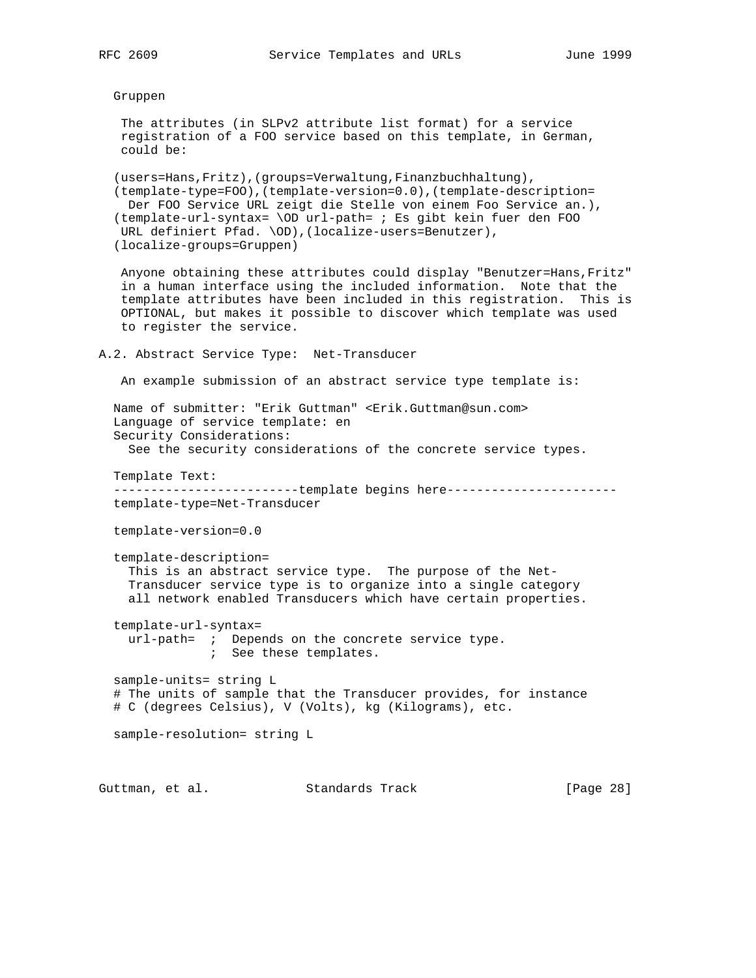### Gruppen

 The attributes (in SLPv2 attribute list format) for a service registration of a FOO service based on this template, in German, could be:

 (users=Hans,Fritz),(groups=Verwaltung,Finanzbuchhaltung), (template-type=FOO),(template-version=0.0),(template-description= Der FOO Service URL zeigt die Stelle von einem Foo Service an.), (template-url-syntax= \OD url-path= ; Es gibt kein fuer den FOO URL definiert Pfad. \OD),(localize-users=Benutzer), (localize-groups=Gruppen)

 Anyone obtaining these attributes could display "Benutzer=Hans,Fritz" in a human interface using the included information. Note that the template attributes have been included in this registration. This is OPTIONAL, but makes it possible to discover which template was used to register the service.

A.2. Abstract Service Type: Net-Transducer

An example submission of an abstract service type template is:

 Name of submitter: "Erik Guttman" <Erik.Guttman@sun.com> Language of service template: en Security Considerations: See the security considerations of the concrete service types.

Template Text:

-------------------------template begins here----------------------template-type=Net-Transducer

template-version=0.0

template-description=

 This is an abstract service type. The purpose of the Net- Transducer service type is to organize into a single category all network enabled Transducers which have certain properties.

 template-url-syntax= url-path= ; Depends on the concrete service type. ; See these templates.

 sample-units= string L # The units of sample that the Transducer provides, for instance # C (degrees Celsius), V (Volts), kg (Kilograms), etc.

sample-resolution= string L

Guttman, et al. Standards Track [Page 28]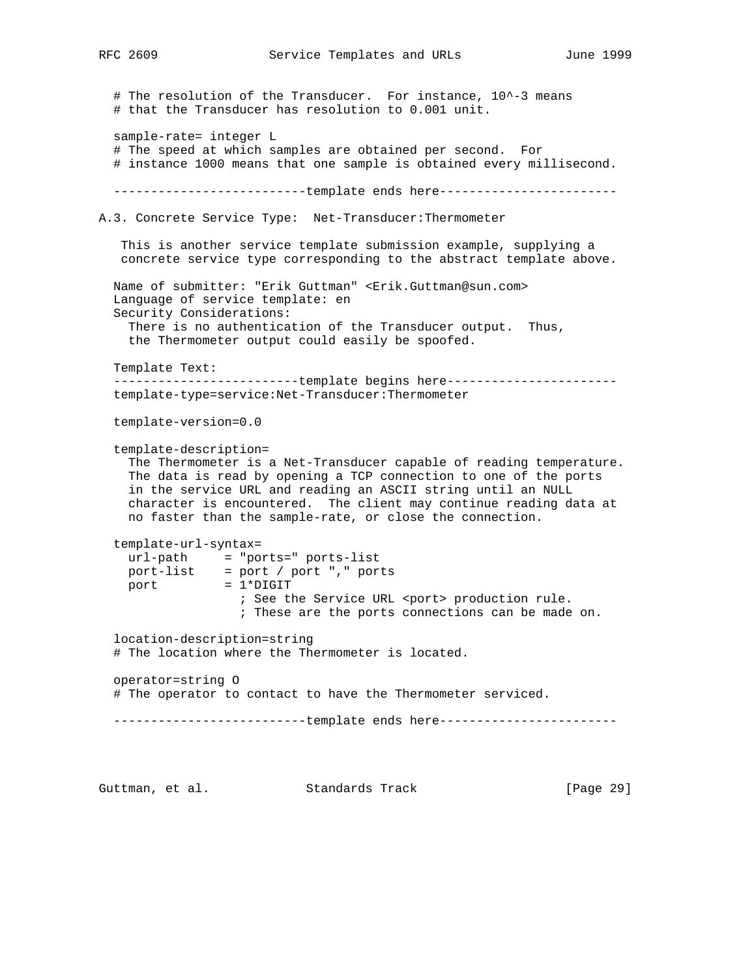```
# The resolution of the Transducer. For instance, 10^-3 means
   # that the Transducer has resolution to 0.001 unit.
   sample-rate= integer L
   # The speed at which samples are obtained per second. For
   # instance 1000 means that one sample is obtained every millisecond.
  ----------------------------template ends here-------------------------
A.3. Concrete Service Type: Net-Transducer:Thermometer
    This is another service template submission example, supplying a
   concrete service type corresponding to the abstract template above.
   Name of submitter: "Erik Guttman" <Erik.Guttman@sun.com>
   Language of service template: en
   Security Considerations:
    There is no authentication of the Transducer output. Thus,
    the Thermometer output could easily be spoofed.
   Template Text:
  --------------------------template begins here------------------------
   template-type=service:Net-Transducer:Thermometer
   template-version=0.0
   template-description=
     The Thermometer is a Net-Transducer capable of reading temperature.
    The data is read by opening a TCP connection to one of the ports
     in the service URL and reading an ASCII string until an NULL
     character is encountered. The client may continue reading data at
    no faster than the sample-rate, or close the connection.
   template-url-syntax=
 url-path = "ports=" ports-list
 port-list = port / port "," ports
port = 1*DiffIT; See the Service URL <port> production rule.
                   ; These are the ports connections can be made on.
   location-description=string
   # The location where the Thermometer is located.
   operator=string O
   # The operator to contact to have the Thermometer serviced.
  ----------------------------template ends here--------------------------
Guttman, et al. Standards Track [Page 29]
```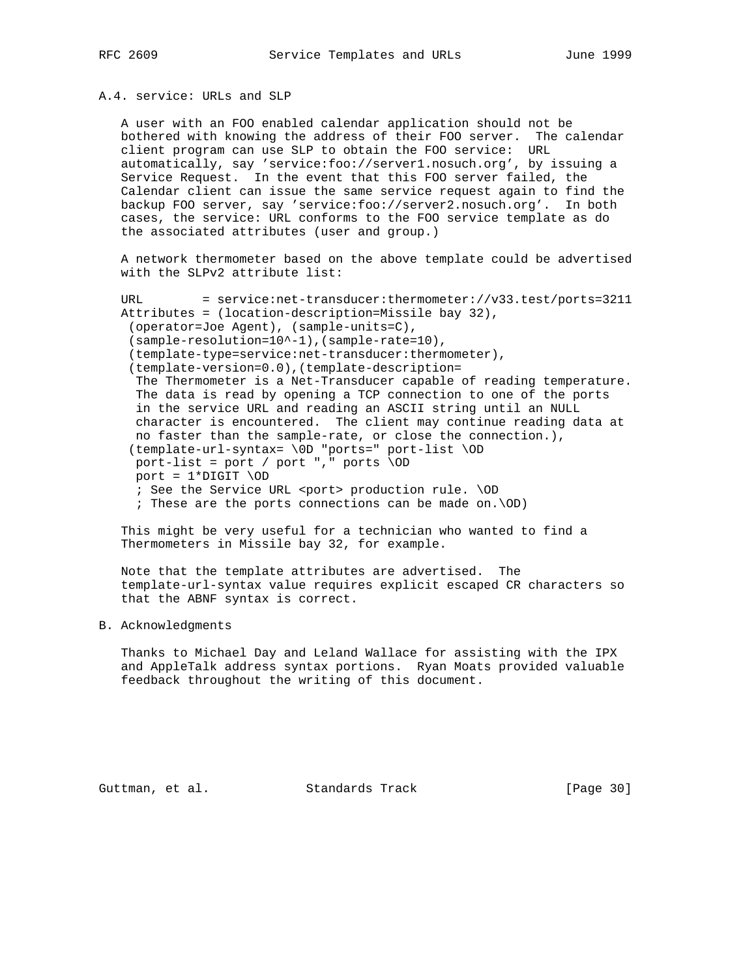## A.4. service: URLs and SLP

 A user with an FOO enabled calendar application should not be bothered with knowing the address of their FOO server. The calendar client program can use SLP to obtain the FOO service: URL automatically, say 'service:foo://server1.nosuch.org', by issuing a Service Request. In the event that this FOO server failed, the Calendar client can issue the same service request again to find the backup FOO server, say 'service:foo://server2.nosuch.org'. In both cases, the service: URL conforms to the FOO service template as do the associated attributes (user and group.)

 A network thermometer based on the above template could be advertised with the SLPv2 attribute list:

 URL = service:net-transducer:thermometer://v33.test/ports=3211 Attributes = (location-description=Missile bay 32), (operator=Joe Agent), (sample-units=C), (sample-resolution=10^-1),(sample-rate=10), (template-type=service:net-transducer:thermometer), (template-version=0.0),(template-description= The Thermometer is a Net-Transducer capable of reading temperature. The data is read by opening a TCP connection to one of the ports in the service URL and reading an ASCII string until an NULL character is encountered. The client may continue reading data at no faster than the sample-rate, or close the connection.), (template-url-syntax= \0D "ports=" port-list \OD port-list = port / port "," ports \OD port =  $1*$ DIGIT \OD ; See the Service URL <port> production rule. \OD ; These are the ports connections can be made on.\OD)

 This might be very useful for a technician who wanted to find a Thermometers in Missile bay 32, for example.

 Note that the template attributes are advertised. The template-url-syntax value requires explicit escaped CR characters so that the ABNF syntax is correct.

## B. Acknowledgments

 Thanks to Michael Day and Leland Wallace for assisting with the IPX and AppleTalk address syntax portions. Ryan Moats provided valuable feedback throughout the writing of this document.

Guttman, et al. Standards Track [Page 30]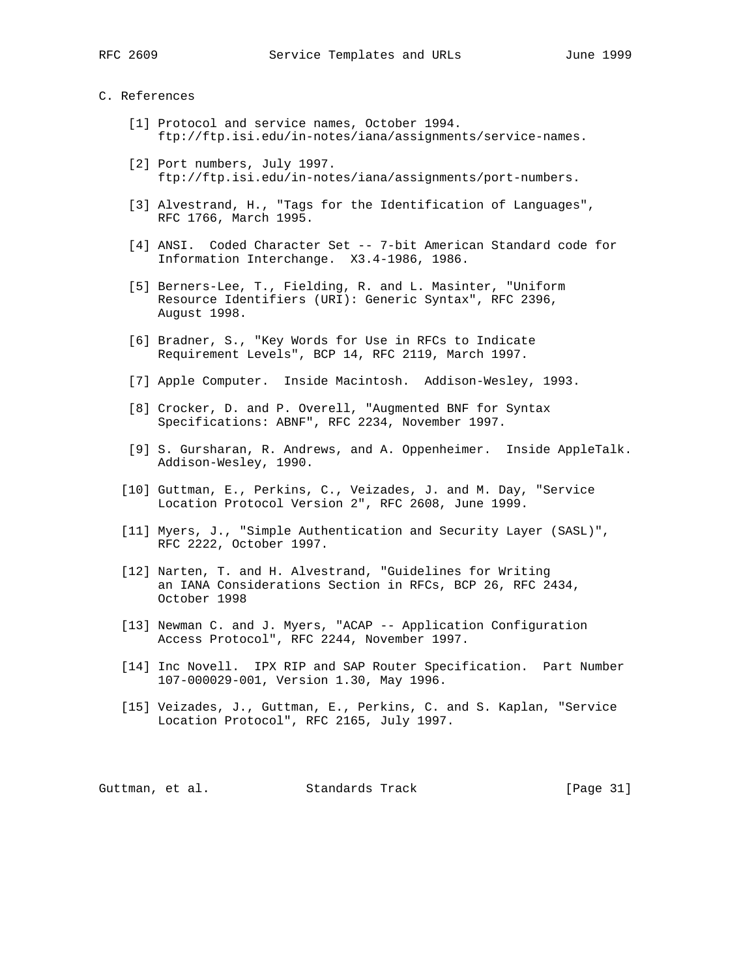### C. References

- [1] Protocol and service names, October 1994. ftp://ftp.isi.edu/in-notes/iana/assignments/service-names.
- [2] Port numbers, July 1997. ftp://ftp.isi.edu/in-notes/iana/assignments/port-numbers.
- [3] Alvestrand, H., "Tags for the Identification of Languages", RFC 1766, March 1995.
- [4] ANSI. Coded Character Set -- 7-bit American Standard code for Information Interchange. X3.4-1986, 1986.
- [5] Berners-Lee, T., Fielding, R. and L. Masinter, "Uniform Resource Identifiers (URI): Generic Syntax", RFC 2396, August 1998.
- [6] Bradner, S., "Key Words for Use in RFCs to Indicate Requirement Levels", BCP 14, RFC 2119, March 1997.
- [7] Apple Computer. Inside Macintosh. Addison-Wesley, 1993.
- [8] Crocker, D. and P. Overell, "Augmented BNF for Syntax Specifications: ABNF", RFC 2234, November 1997.
- [9] S. Gursharan, R. Andrews, and A. Oppenheimer. Inside AppleTalk. Addison-Wesley, 1990.
- [10] Guttman, E., Perkins, C., Veizades, J. and M. Day, "Service Location Protocol Version 2", RFC 2608, June 1999.
- [11] Myers, J., "Simple Authentication and Security Layer (SASL)", RFC 2222, October 1997.
- [12] Narten, T. and H. Alvestrand, "Guidelines for Writing an IANA Considerations Section in RFCs, BCP 26, RFC 2434, October 1998
- [13] Newman C. and J. Myers, "ACAP -- Application Configuration Access Protocol", RFC 2244, November 1997.
- [14] Inc Novell. IPX RIP and SAP Router Specification. Part Number 107-000029-001, Version 1.30, May 1996.
- [15] Veizades, J., Guttman, E., Perkins, C. and S. Kaplan, "Service Location Protocol", RFC 2165, July 1997.

Guttman, et al. Standards Track [Page 31]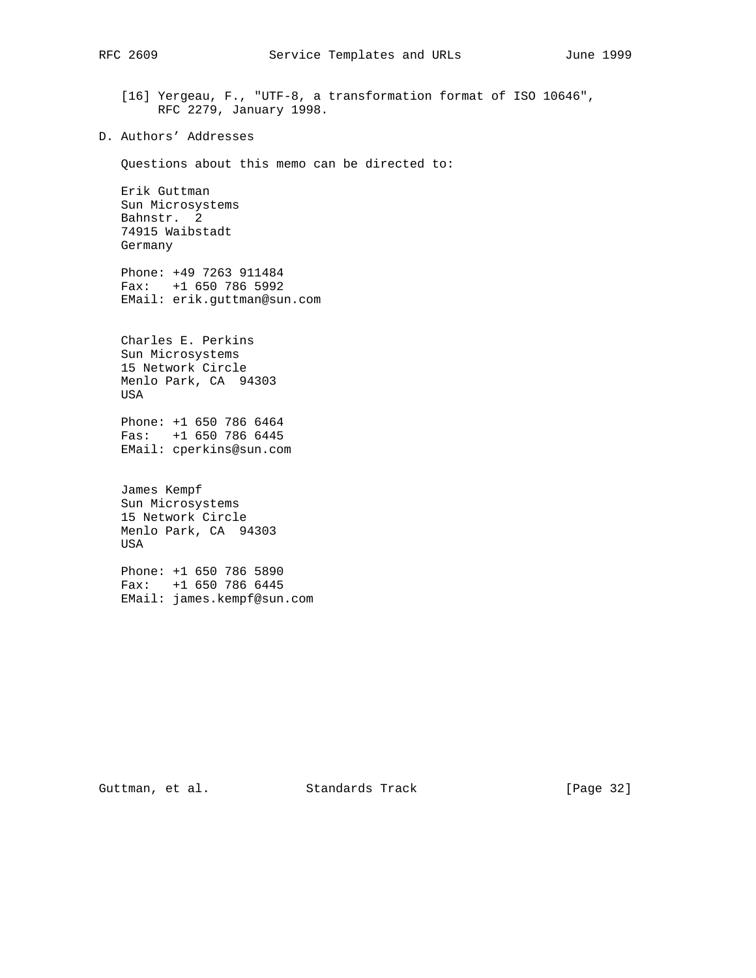[16] Yergeau, F., "UTF-8, a transformation format of ISO 10646", RFC 2279, January 1998.

D. Authors' Addresses

Questions about this memo can be directed to:

 Erik Guttman Sun Microsystems Bahnstr. 2 74915 Waibstadt Germany

 Phone: +49 7263 911484 Fax: +1 650 786 5992 EMail: erik.guttman@sun.com

 Charles E. Perkins Sun Microsystems 15 Network Circle Menlo Park, CA 94303 USA

 Phone: +1 650 786 6464 Fas: +1 650 786 6445 EMail: cperkins@sun.com

 James Kempf Sun Microsystems 15 Network Circle Menlo Park, CA 94303 USA

 Phone: +1 650 786 5890 Fax: +1 650 786 6445 EMail: james.kempf@sun.com

Guttman, et al. Standards Track [Page 32]